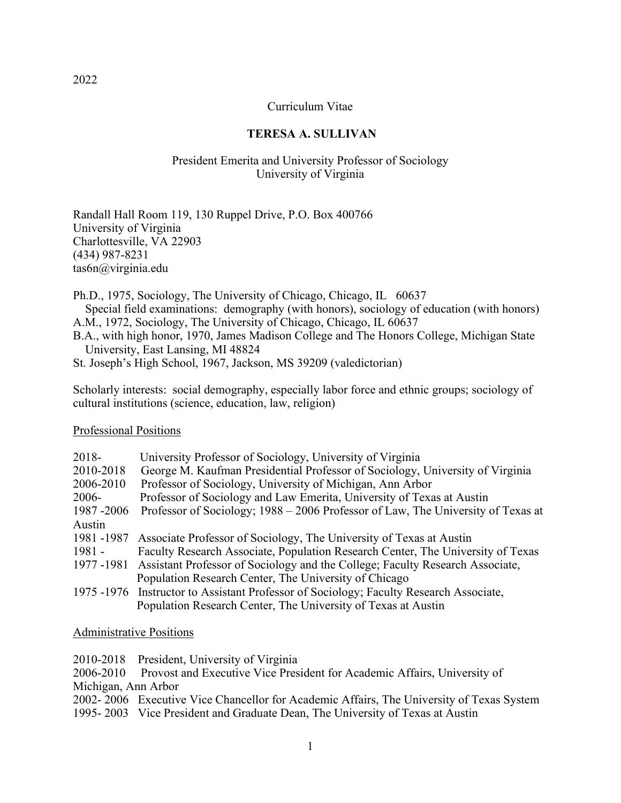### Curriculum Vitae

### **TERESA A. SULLIVAN**

### President Emerita and University Professor of Sociology University of Virginia

Randall Hall Room 119, 130 Ruppel Drive, P.O. Box 400766 University of Virginia Charlottesville, VA 22903 (434) 987-8231 tas6n@virginia.edu

Ph.D., 1975, Sociology, The University of Chicago, Chicago, IL 60637 Special field examinations: demography (with honors), sociology of education (with honors) A.M., 1972, Sociology, The University of Chicago, Chicago, IL 60637

B.A., with high honor, 1970, James Madison College and The Honors College, Michigan State University, East Lansing, MI 48824

St. Joseph's High School, 1967, Jackson, MS 39209 (valedictorian)

Scholarly interests: social demography, especially labor force and ethnic groups; sociology of cultural institutions (science, education, law, religion)

#### Professional Positions

| $2018 -$   | University Professor of Sociology, University of Virginia                              |
|------------|----------------------------------------------------------------------------------------|
| 2010-2018  | George M. Kaufman Presidential Professor of Sociology, University of Virginia          |
| 2006-2010  | Professor of Sociology, University of Michigan, Ann Arbor                              |
| $2006 -$   | Professor of Sociology and Law Emerita, University of Texas at Austin                  |
| 1987-2006  | Professor of Sociology; 1988 – 2006 Professor of Law, The University of Texas at       |
| Austin     |                                                                                        |
| 1981 -1987 | Associate Professor of Sociology, The University of Texas at Austin                    |
| $1981 -$   | Faculty Research Associate, Population Research Center, The University of Texas        |
| 1977-1981  | Assistant Professor of Sociology and the College; Faculty Research Associate,          |
|            | Population Research Center, The University of Chicago                                  |
|            | 1975 -1976 Instructor to Assistant Professor of Sociology; Faculty Research Associate, |
|            | Population Research Center, The University of Texas at Austin                          |

#### Administrative Positions

2010-2018 President, University of Virginia

2006-2010 Provost and Executive Vice President for Academic Affairs, University of Michigan, Ann Arbor

2002- 2006 Executive Vice Chancellor for Academic Affairs, The University of Texas System

1995- 2003 Vice President and Graduate Dean, The University of Texas at Austin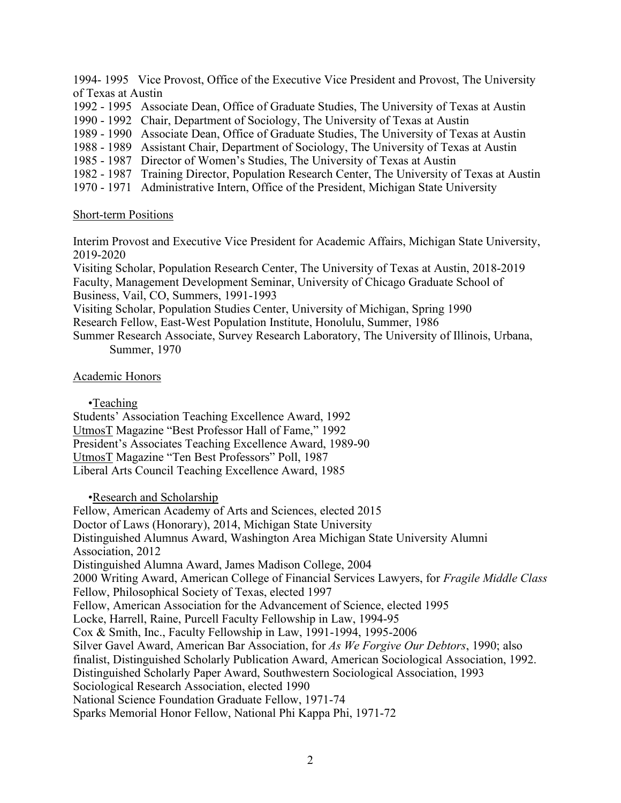1994- 1995 Vice Provost, Office of the Executive Vice President and Provost, The University of Texas at Austin

- 1992 1995 Associate Dean, Office of Graduate Studies, The University of Texas at Austin
- 1990 1992 Chair, Department of Sociology, The University of Texas at Austin
- 1989 1990 Associate Dean, Office of Graduate Studies, The University of Texas at Austin
- 1988 1989 Assistant Chair, Department of Sociology, The University of Texas at Austin
- 1985 1987 Director of Women's Studies, The University of Texas at Austin
- 1982 1987 Training Director, Population Research Center, The University of Texas at Austin
- 1970 1971 Administrative Intern, Office of the President, Michigan State University

#### Short-term Positions

Interim Provost and Executive Vice President for Academic Affairs, Michigan State University, 2019-2020

Visiting Scholar, Population Research Center, The University of Texas at Austin, 2018-2019 Faculty, Management Development Seminar, University of Chicago Graduate School of Business, Vail, CO, Summers, 1991-1993

Visiting Scholar, Population Studies Center, University of Michigan, Spring 1990 Research Fellow, East-West Population Institute, Honolulu, Summer, 1986

Summer Research Associate, Survey Research Laboratory, The University of Illinois, Urbana, Summer, 1970

### Academic Honors

•Teaching

Students' Association Teaching Excellence Award, 1992 UtmosT Magazine "Best Professor Hall of Fame," 1992 President's Associates Teaching Excellence Award, 1989-90 UtmosT Magazine "Ten Best Professors" Poll, 1987 Liberal Arts Council Teaching Excellence Award, 1985

•Research and Scholarship

Fellow, American Academy of Arts and Sciences, elected 2015 Doctor of Laws (Honorary), 2014, Michigan State University Distinguished Alumnus Award, Washington Area Michigan State University Alumni Association, 2012 Distinguished Alumna Award, James Madison College, 2004 2000 Writing Award, American College of Financial Services Lawyers, for *Fragile Middle Class* Fellow, Philosophical Society of Texas, elected 1997 Fellow, American Association for the Advancement of Science, elected 1995 Locke, Harrell, Raine, Purcell Faculty Fellowship in Law, 1994-95 Cox & Smith, Inc., Faculty Fellowship in Law, 1991-1994, 1995-2006 Silver Gavel Award, American Bar Association, for *As We Forgive Our Debtors*, 1990; also finalist, Distinguished Scholarly Publication Award, American Sociological Association, 1992. Distinguished Scholarly Paper Award, Southwestern Sociological Association, 1993 Sociological Research Association, elected 1990 National Science Foundation Graduate Fellow, 1971-74 Sparks Memorial Honor Fellow, National Phi Kappa Phi, 1971-72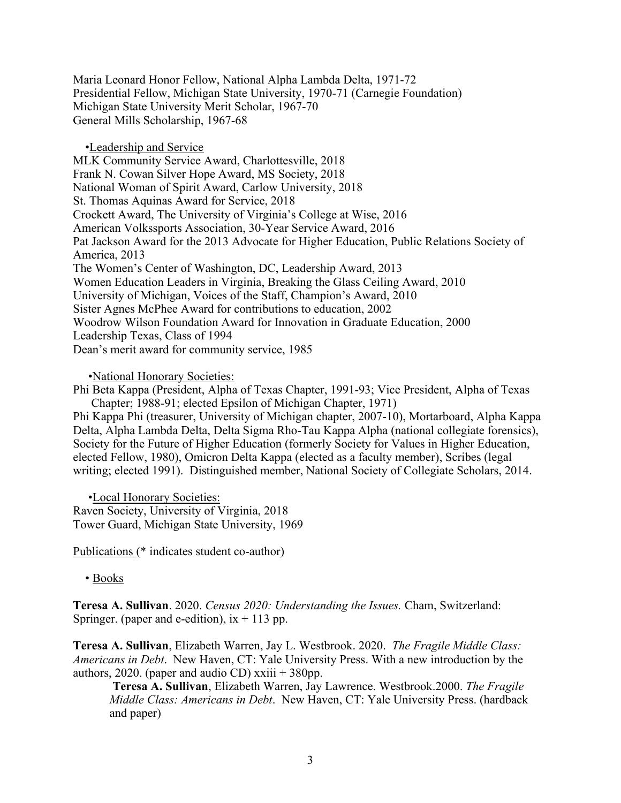Maria Leonard Honor Fellow, National Alpha Lambda Delta, 1971-72 Presidential Fellow, Michigan State University, 1970-71 (Carnegie Foundation) Michigan State University Merit Scholar, 1967-70 General Mills Scholarship, 1967-68

 •Leadership and Service MLK Community Service Award, Charlottesville, 2018 Frank N. Cowan Silver Hope Award, MS Society, 2018 National Woman of Spirit Award, Carlow University, 2018 St. Thomas Aquinas Award for Service, 2018 Crockett Award, The University of Virginia's College at Wise, 2016 American Volkssports Association, 30-Year Service Award, 2016 Pat Jackson Award for the 2013 Advocate for Higher Education, Public Relations Society of America, 2013 The Women's Center of Washington, DC, Leadership Award, 2013 Women Education Leaders in Virginia, Breaking the Glass Ceiling Award, 2010 University of Michigan, Voices of the Staff, Champion's Award, 2010 Sister Agnes McPhee Award for contributions to education, 2002 Woodrow Wilson Foundation Award for Innovation in Graduate Education, 2000 Leadership Texas, Class of 1994 Dean's merit award for community service, 1985

•National Honorary Societies:

Phi Beta Kappa (President, Alpha of Texas Chapter, 1991-93; Vice President, Alpha of Texas Chapter; 1988-91; elected Epsilon of Michigan Chapter, 1971)

Phi Kappa Phi (treasurer, University of Michigan chapter, 2007-10), Mortarboard, Alpha Kappa Delta, Alpha Lambda Delta, Delta Sigma Rho-Tau Kappa Alpha (national collegiate forensics), Society for the Future of Higher Education (formerly Society for Values in Higher Education, elected Fellow, 1980), Omicron Delta Kappa (elected as a faculty member), Scribes (legal writing; elected 1991). Distinguished member, National Society of Collegiate Scholars, 2014.

 •Local Honorary Societies: Raven Society, University of Virginia, 2018 Tower Guard, Michigan State University, 1969

Publications (\* indicates student co-author)

• Books

**Teresa A. Sullivan**. 2020. *Census 2020: Understanding the Issues.* Cham, Switzerland: Springer. (paper and e-edition),  $ix + 113$  pp.

**Teresa A. Sullivan**, Elizabeth Warren, Jay L. Westbrook. 2020. *The Fragile Middle Class: Americans in Debt*. New Haven, CT: Yale University Press. With a new introduction by the authors, 2020. (paper and audio CD)  $x\ddot{i}$  + 380pp.

**Teresa A. Sullivan**, Elizabeth Warren, Jay Lawrence. Westbrook.2000. *The Fragile Middle Class: Americans in Debt*. New Haven, CT: Yale University Press. (hardback and paper)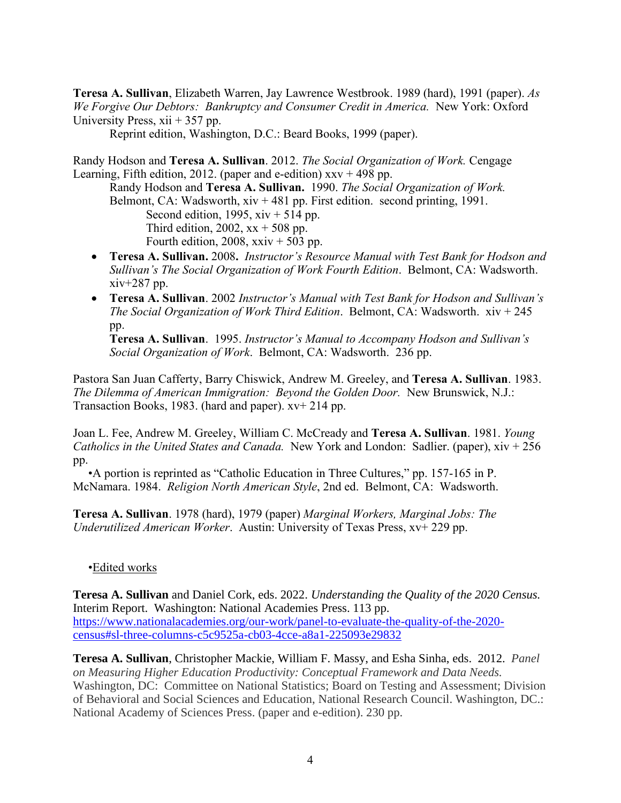**Teresa A. Sullivan**, Elizabeth Warren, Jay Lawrence Westbrook. 1989 (hard), 1991 (paper). *As We Forgive Our Debtors: Bankruptcy and Consumer Credit in America.* New York: Oxford University Press,  $xii + 357$  pp.

Reprint edition, Washington, D.C.: Beard Books, 1999 (paper).

Randy Hodson and **Teresa A. Sullivan**. 2012. *The Social Organization of Work.* Cengage Learning, Fifth edition, 2012. (paper and e-edition)  $xxv + 498$  pp.

Randy Hodson and **Teresa A. Sullivan.** 1990. *The Social Organization of Work.*  Belmont, CA: Wadsworth,  $xiv + 481$  pp. First edition. second printing, 1991. Second edition, 1995,  $xiv + 514$  pp. Third edition, 2002,  $xx + 508$  pp. Fourth edition, 2008,  $xxiv + 503$  pp.

- **Teresa A. Sullivan.** 2008**.** *Instructor's Resource Manual with Test Bank for Hodson and Sullivan's The Social Organization of Work Fourth Edition*. Belmont, CA: Wadsworth. xiv+287 pp.
- **Teresa A. Sullivan**. 2002 *Instructor's Manual with Test Bank for Hodson and Sullivan's The Social Organization of Work Third Edition*. Belmont, CA: Wadsworth. xiv + 245 pp.

**Teresa A. Sullivan**. 1995. *Instructor's Manual to Accompany Hodson and Sullivan's Social Organization of Work*. Belmont, CA: Wadsworth. 236 pp.

Pastora San Juan Cafferty, Barry Chiswick, Andrew M. Greeley, and **Teresa A. Sullivan**. 1983. *The Dilemma of American Immigration: Beyond the Golden Door.* New Brunswick, N.J.: Transaction Books, 1983. (hard and paper). xv+ 214 pp.

Joan L. Fee, Andrew M. Greeley, William C. McCready and **Teresa A. Sullivan**. 1981. *Young Catholics in the United States and Canada.* New York and London: Sadlier. (paper), xiv + 256 pp.

 •A portion is reprinted as "Catholic Education in Three Cultures," pp. 157-165 in P. McNamara. 1984. *Religion North American Style*, 2nd ed. Belmont, CA: Wadsworth.

**Teresa A. Sullivan**. 1978 (hard), 1979 (paper) *Marginal Workers, Marginal Jobs: The Underutilized American Worker*. Austin: University of Texas Press, xv+ 229 pp.

## •Edited works

**Teresa A. Sullivan** and Daniel Cork, eds. 2022. *Understanding the Quality of the 2020 Census.* Interim Report. Washington: National Academies Press. 113 pp. [https://www.nationalacademies.org/our-work/panel-to-evaluate-the-quality-of-the-2020](https://www.nationalacademies.org/our-work/panel-to-evaluate-the-quality-of-the-2020-census#sl-three-columns-c5c9525a-cb03-4cce-a8a1-225093e29832) [census#sl-three-columns-c5c9525a-cb03-4cce-a8a1-225093e29832](https://www.nationalacademies.org/our-work/panel-to-evaluate-the-quality-of-the-2020-census#sl-three-columns-c5c9525a-cb03-4cce-a8a1-225093e29832)

**Teresa A. Sullivan**, Christopher Mackie, William F. Massy, and Esha Sinha, eds. 2012. *Panel on Measuring Higher Education Productivity: Conceptual Framework and Data Needs.*  Washington, DC: Committee on National Statistics; Board on Testing and Assessment; Division of Behavioral and Social Sciences and Education, National Research Council. Washington, DC.: National Academy of Sciences Press. (paper and e-edition). 230 pp.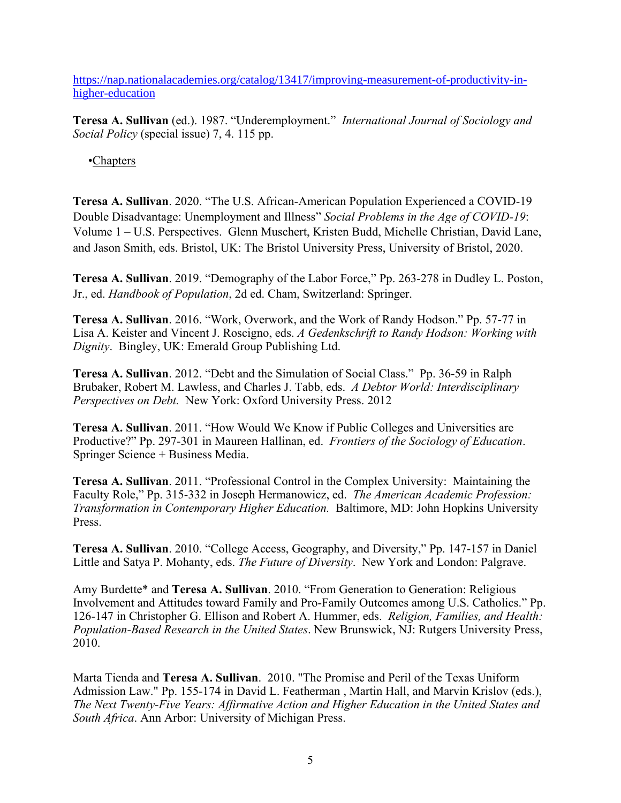[https://nap.nationalacademies.org/catalog/13417/improving-measurement-of-productivity-in](https://nap.nationalacademies.org/catalog/13417/improving-measurement-of-productivity-in-higher-education)[higher-education](https://nap.nationalacademies.org/catalog/13417/improving-measurement-of-productivity-in-higher-education)

**Teresa A. Sullivan** (ed.). 1987. "Underemployment." *International Journal of Sociology and Social Policy* (special issue) 7, 4. 115 pp.

•Chapters

**Teresa A. Sullivan**. 2020. "The U.S. African-American Population Experienced a COVID-19 Double Disadvantage: Unemployment and Illness" *Social Problems in the Age of COVID-19*: Volume 1 – U.S. Perspectives. Glenn Muschert, Kristen Budd, Michelle Christian, David Lane, and Jason Smith, eds. Bristol, UK: The Bristol University Press, University of Bristol, 2020.

**Teresa A. Sullivan**. 2019. "Demography of the Labor Force," Pp. 263-278 in Dudley L. Poston, Jr., ed. *Handbook of Population*, 2d ed. Cham, Switzerland: Springer.

**Teresa A. Sullivan**. 2016. "Work, Overwork, and the Work of Randy Hodson." Pp. 57-77 in Lisa A. Keister and Vincent J. Roscigno, eds. *A Gedenkschrift to Randy Hodson: Working with Dignity*. Bingley, UK: Emerald Group Publishing Ltd.

**Teresa A. Sullivan**. 2012. "Debt and the Simulation of Social Class." Pp. 36-59 in Ralph Brubaker, Robert M. Lawless, and Charles J. Tabb, eds. *A Debtor World: Interdisciplinary Perspectives on Debt.* New York: Oxford University Press. 2012

**Teresa A. Sullivan**. 2011. "How Would We Know if Public Colleges and Universities are Productive?" Pp. 297-301 in Maureen Hallinan, ed. *Frontiers of the Sociology of Education*. Springer Science + Business Media.

**Teresa A. Sullivan**. 2011. "Professional Control in the Complex University: Maintaining the Faculty Role," Pp. 315-332 in Joseph Hermanowicz, ed. *The American Academic Profession: Transformation in Contemporary Higher Education.* Baltimore, MD: John Hopkins University Press.

**Teresa A. Sullivan**. 2010. "College Access, Geography, and Diversity," Pp. 147-157 in Daniel Little and Satya P. Mohanty, eds. *The Future of Diversity*. New York and London: Palgrave.

Amy Burdette\* and **Teresa A. Sullivan**. 2010. "From Generation to Generation: Religious Involvement and Attitudes toward Family and Pro-Family Outcomes among U.S. Catholics." Pp. 126-147 in Christopher G. Ellison and Robert A. Hummer, eds. *Religion, Families, and Health: Population-Based Research in the United States*. New Brunswick, NJ: Rutgers University Press, 2010.

Marta Tienda and **Teresa A. Sullivan**. 2010. "The Promise and Peril of the Texas Uniform Admission Law." Pp. 155-174 in David L. Featherman , Martin Hall, and Marvin Krislov (eds.), *The Next Twenty-Five Years: Affirmative Action and Higher Education in the United States and South Africa*. Ann Arbor: University of Michigan Press.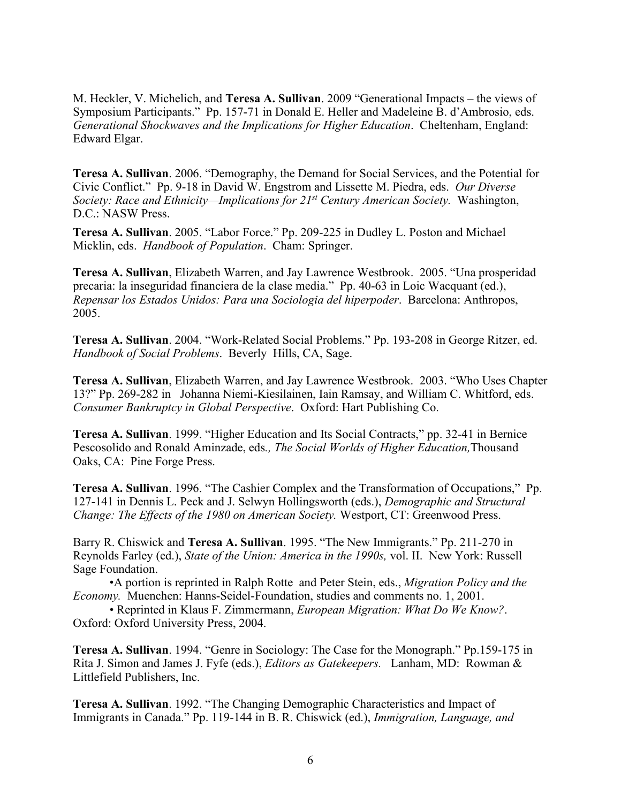M. Heckler, V. Michelich, and **Teresa A. Sullivan**. 2009 "Generational Impacts – the views of Symposium Participants." Pp. 157-71 in Donald E. Heller and Madeleine B. d'Ambrosio, eds. *Generational Shockwaves and the Implications for Higher Education*. Cheltenham, England: Edward Elgar.

**Teresa A. Sullivan**. 2006. "Demography, the Demand for Social Services, and the Potential for Civic Conflict." Pp. 9-18 in David W. Engstrom and Lissette M. Piedra, eds. *Our Diverse Society: Race and Ethnicity—Implications for 21st Century American Society.* Washington, D.C.: NASW Press.

**Teresa A. Sullivan**. 2005. "Labor Force." Pp. 209-225 in Dudley L. Poston and Michael Micklin, eds. *Handbook of Population*. Cham: Springer.

**Teresa A. Sullivan**, Elizabeth Warren, and Jay Lawrence Westbrook. 2005. "Una prosperidad precaria: la inseguridad financiera de la clase media." Pp. 40-63 in Loic Wacquant (ed.), *Repensar los Estados Unidos: Para una Sociologia del hiperpoder*. Barcelona: Anthropos, 2005.

**Teresa A. Sullivan**. 2004. "Work-Related Social Problems." Pp. 193-208 in George Ritzer, ed. *Handbook of Social Problems*. Beverly Hills, CA, Sage.

**Teresa A. Sullivan**, Elizabeth Warren, and Jay Lawrence Westbrook. 2003. "Who Uses Chapter 13?" Pp. 269-282 in Johanna Niemi-Kiesilainen, Iain Ramsay, and William C. Whitford, eds. *Consumer Bankruptcy in Global Perspective*. Oxford: Hart Publishing Co.

**Teresa A. Sullivan**. 1999. "Higher Education and Its Social Contracts," pp. 32-41 in Bernice Pescosolido and Ronald Aminzade, eds*., The Social Worlds of Higher Education,*Thousand Oaks, CA: Pine Forge Press.

**Teresa A. Sullivan**. 1996. "The Cashier Complex and the Transformation of Occupations," Pp. 127-141 in Dennis L. Peck and J. Selwyn Hollingsworth (eds.), *Demographic and Structural Change: The Effects of the 1980 on American Society.* Westport, CT: Greenwood Press.

Barry R. Chiswick and **Teresa A. Sullivan**. 1995. "The New Immigrants." Pp. 211-270 in Reynolds Farley (ed.), *State of the Union: America in the 1990s,* vol. II. New York: Russell Sage Foundation.

•A portion is reprinted in Ralph Rotte and Peter Stein, eds., *Migration Policy and the Economy.* Muenchen: Hanns-Seidel-Foundation, studies and comments no. 1, 2001.

• Reprinted in Klaus F. Zimmermann, *European Migration: What Do We Know?*. Oxford: Oxford University Press, 2004.

**Teresa A. Sullivan**. 1994. "Genre in Sociology: The Case for the Monograph." Pp.159-175 in Rita J. Simon and James J. Fyfe (eds.), *Editors as Gatekeepers.* Lanham, MD: Rowman & Littlefield Publishers, Inc.

**Teresa A. Sullivan**. 1992. "The Changing Demographic Characteristics and Impact of Immigrants in Canada." Pp. 119-144 in B. R. Chiswick (ed.), *Immigration, Language, and*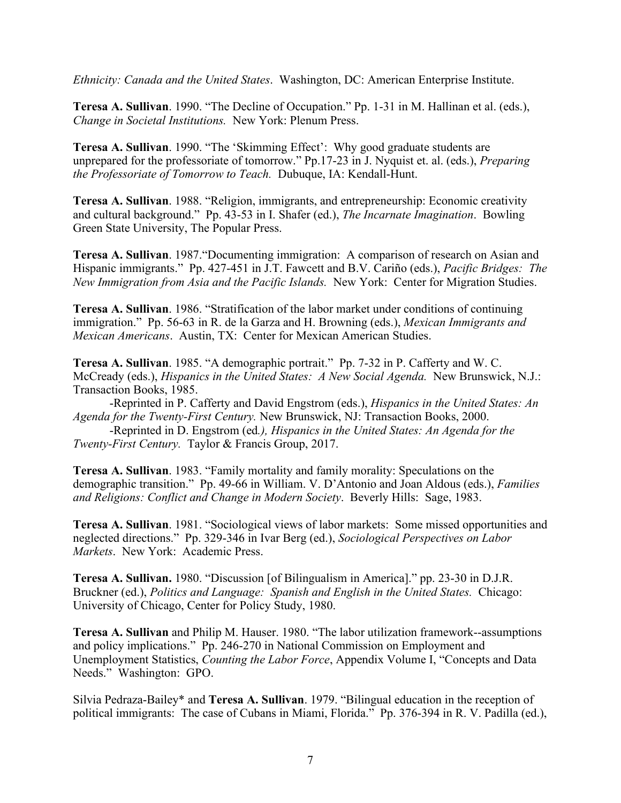*Ethnicity: Canada and the United States*. Washington, DC: American Enterprise Institute.

**Teresa A. Sullivan**. 1990. "The Decline of Occupation." Pp. 1-31 in M. Hallinan et al. (eds.), *Change in Societal Institutions.* New York: Plenum Press.

**Teresa A. Sullivan**. 1990. "The 'Skimming Effect': Why good graduate students are unprepared for the professoriate of tomorrow." Pp.17-23 in J. Nyquist et. al. (eds.), *Preparing the Professoriate of Tomorrow to Teach.* Dubuque, IA: Kendall-Hunt.

**Teresa A. Sullivan**. 1988. "Religion, immigrants, and entrepreneurship: Economic creativity and cultural background." Pp. 43-53 in I. Shafer (ed.), *The Incarnate Imagination*. Bowling Green State University, The Popular Press.

**Teresa A. Sullivan**. 1987."Documenting immigration: A comparison of research on Asian and Hispanic immigrants." Pp. 427-451 in J.T. Fawcett and B.V. Cariño (eds.), *Pacific Bridges: The New Immigration from Asia and the Pacific Islands.* New York: Center for Migration Studies.

**Teresa A. Sullivan**. 1986. "Stratification of the labor market under conditions of continuing immigration." Pp. 56-63 in R. de la Garza and H. Browning (eds.), *Mexican Immigrants and Mexican Americans*. Austin, TX: Center for Mexican American Studies.

**Teresa A. Sullivan**. 1985. "A demographic portrait." Pp. 7-32 in P. Cafferty and W. C. McCready (eds.), *Hispanics in the United States: A New Social Agenda.* New Brunswick, N.J.: Transaction Books, 1985.

-Reprinted in P. Cafferty and David Engstrom (eds.), *Hispanics in the United States: An Agenda for the Twenty-First Century.* New Brunswick, NJ: Transaction Books, 2000.

-Reprinted in D. Engstrom (ed*.), Hispanics in the United States: An Agenda for the Twenty-First Century.* Taylor & Francis Group, 2017.

**Teresa A. Sullivan**. 1983. "Family mortality and family morality: Speculations on the demographic transition." Pp. 49-66 in William. V. D'Antonio and Joan Aldous (eds.), *Families and Religions: Conflict and Change in Modern Society*. Beverly Hills: Sage, 1983.

**Teresa A. Sullivan**. 1981. "Sociological views of labor markets: Some missed opportunities and neglected directions." Pp. 329-346 in Ivar Berg (ed.), *Sociological Perspectives on Labor Markets*. New York: Academic Press.

**Teresa A. Sullivan.** 1980. "Discussion [of Bilingualism in America]." pp. 23-30 in D.J.R. Bruckner (ed.), *Politics and Language: Spanish and English in the United States.* Chicago: University of Chicago, Center for Policy Study, 1980.

**Teresa A. Sullivan** and Philip M. Hauser. 1980. "The labor utilization framework--assumptions and policy implications." Pp. 246-270 in National Commission on Employment and Unemployment Statistics, *Counting the Labor Force*, Appendix Volume I, "Concepts and Data Needs." Washington: GPO.

Silvia Pedraza-Bailey\* and **Teresa A. Sullivan**. 1979. "Bilingual education in the reception of political immigrants: The case of Cubans in Miami, Florida." Pp. 376-394 in R. V. Padilla (ed.),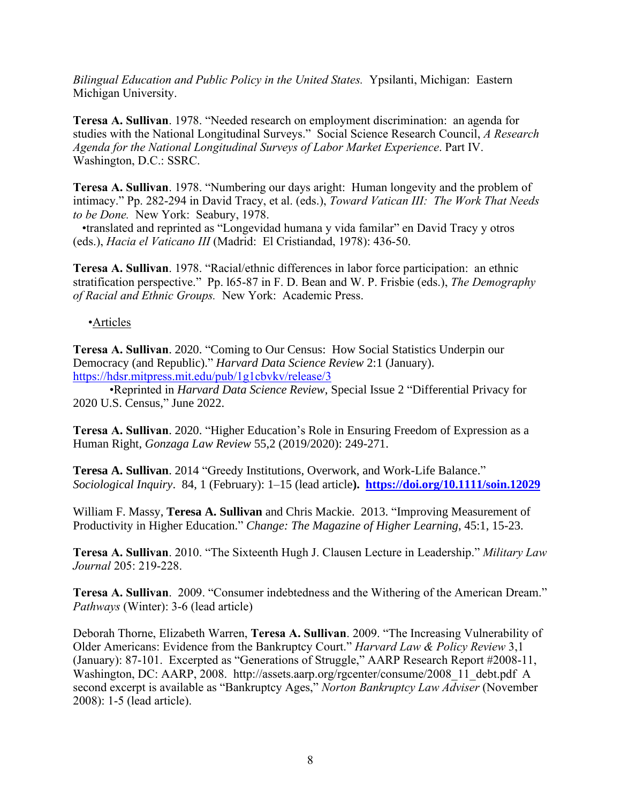*Bilingual Education and Public Policy in the United States.* Ypsilanti, Michigan: Eastern Michigan University.

**Teresa A. Sullivan**. 1978. "Needed research on employment discrimination: an agenda for studies with the National Longitudinal Surveys." Social Science Research Council, *A Research Agenda for the National Longitudinal Surveys of Labor Market Experience*. Part IV. Washington, D.C.: SSRC.

**Teresa A. Sullivan**. 1978. "Numbering our days aright: Human longevity and the problem of intimacy." Pp. 282-294 in David Tracy, et al. (eds.), *Toward Vatican III: The Work That Needs to be Done.* New York: Seabury, 1978.

 •translated and reprinted as "Longevidad humana y vida familar" en David Tracy y otros (eds.), *Hacia el Vaticano III* (Madrid: El Cristiandad, 1978): 436-50.

**Teresa A. Sullivan**. 1978. "Racial/ethnic differences in labor force participation: an ethnic stratification perspective." Pp. l65-87 in F. D. Bean and W. P. Frisbie (eds.), *The Demography of Racial and Ethnic Groups.* New York: Academic Press.

# •Articles

**Teresa A. Sullivan**. 2020. "Coming to Our Census: How Social Statistics Underpin our Democracy (and Republic)." *Harvard Data Science Review* 2:1 (January). <https://hdsr.mitpress.mit.edu/pub/1g1cbvkv/release/3>

•Reprinted in *Harvard Data Science Review*, Special Issue 2 "Differential Privacy for 2020 U.S. Census," June 2022.

**Teresa A. Sullivan**. 2020. "Higher Education's Role in Ensuring Freedom of Expression as a Human Right, *Gonzaga Law Review* 55,2 (2019/2020): 249-271.

**Teresa A. Sullivan**. 2014 "Greedy Institutions, Overwork, and Work-Life Balance." *Sociological Inquiry*. 84, 1 (February): 1–15 (lead article**). <https://doi.org/10.1111/soin.12029>**

William F. Massy, **Teresa A. Sullivan** and Chris Mackie. 2013. "Improving Measurement of Productivity in Higher Education." *Change: The Magazine of Higher Learning*, 45:1, 15-23.

**Teresa A. Sullivan**. 2010. "The Sixteenth Hugh J. Clausen Lecture in Leadership." *Military Law Journal* 205: 219-228.

**Teresa A. Sullivan**. 2009. "Consumer indebtedness and the Withering of the American Dream." *Pathways* (Winter): 3-6 (lead article)

Deborah Thorne, Elizabeth Warren, **Teresa A. Sullivan**. 2009. "The Increasing Vulnerability of Older Americans: Evidence from the Bankruptcy Court." *Harvard Law & Policy Review* 3,1 (January): 87-101. Excerpted as "Generations of Struggle," AARP Research Report #2008-11, Washington, DC: AARP, 2008. http://assets.aarp.org/rgcenter/consume/2008\_11\_debt.pdf A second excerpt is available as "Bankruptcy Ages," *Norton Bankruptcy Law Adviser* (November 2008): 1-5 (lead article).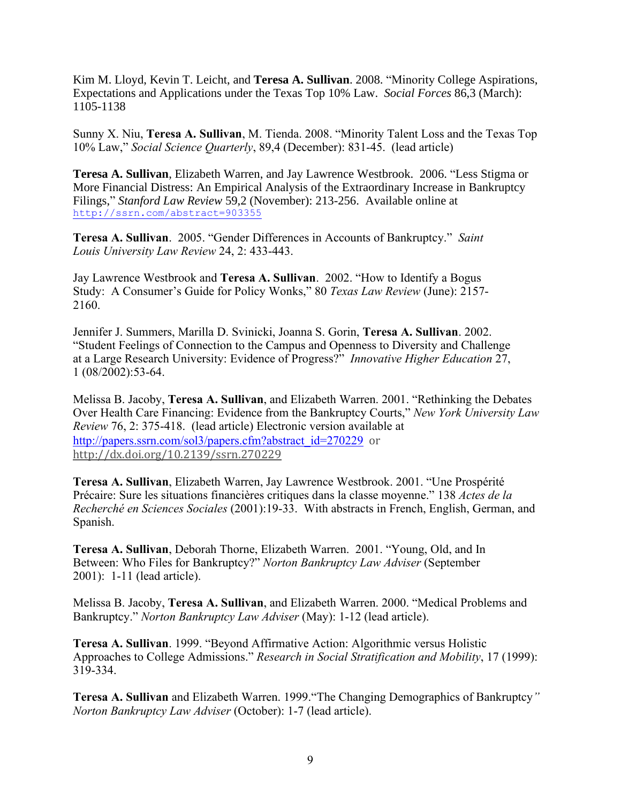Kim M. Lloyd, Kevin T. Leicht, and **Teresa A. Sullivan**. 2008. "Minority College Aspirations, Expectations and Applications under the Texas Top 10% Law. *Social Forces* 86,3 (March): 1105-1138

Sunny X. Niu, **Teresa A. Sullivan**, M. Tienda. 2008. "Minority Talent Loss and the Texas Top 10% Law," *Social Science Quarterly*, 89,4 (December): 831-45. (lead article)

**Teresa A. Sullivan**, Elizabeth Warren, and Jay Lawrence Westbrook. 2006. "Less Stigma or More Financial Distress: An Empirical Analysis of the Extraordinary Increase in Bankruptcy Filings," *Stanford Law Review* 59,2 (November): 213-256. Available online at <http://ssrn.com/abstract=903355>

**Teresa A. Sullivan**. 2005. "Gender Differences in Accounts of Bankruptcy." *Saint Louis University Law Review* 24, 2: 433-443.

Jay Lawrence Westbrook and **Teresa A. Sullivan**. 2002. "How to Identify a Bogus Study: A Consumer's Guide for Policy Wonks," 80 *Texas Law Review* (June): 2157- 2160.

Jennifer J. Summers, Marilla D. Svinicki, Joanna S. Gorin, **Teresa A. Sullivan**. 2002. "Student Feelings of Connection to the Campus and Openness to Diversity and Challenge at a Large Research University: Evidence of Progress?" *Innovative Higher Education* 27, 1 (08/2002):53-64.

Melissa B. Jacoby, **Teresa A. Sullivan**, and Elizabeth Warren. 2001. "Rethinking the Debates Over Health Care Financing: Evidence from the Bankruptcy Courts," *New York University Law Review* 76, 2: 375-418. (lead article) Electronic version available at [http://papers.ssrn.com/sol3/papers.cfm?abstract\\_id=270229](http://papers.ssrn.com/sol3/papers.cfm?abstract_id=270229) or [http://dx.doi.org/10.2139/ssrn.270229](https://dx.doi.org/10.2139/ssrn.270229)

**Teresa A. Sullivan**, Elizabeth Warren, Jay Lawrence Westbrook. 2001. "Une Prospérité Précaire: Sure les situations financières critiques dans la classe moyenne." 138 *Actes de la Recherché en Sciences Sociales* (2001):19-33. With abstracts in French, English, German, and Spanish.

**Teresa A. Sullivan**, Deborah Thorne, Elizabeth Warren. 2001. "Young, Old, and In Between: Who Files for Bankruptcy?" *Norton Bankruptcy Law Adviser* (September 2001): 1-11 (lead article).

Melissa B. Jacoby, **Teresa A. Sullivan**, and Elizabeth Warren. 2000. "Medical Problems and Bankruptcy." *Norton Bankruptcy Law Adviser* (May): 1-12 (lead article).

**Teresa A. Sullivan**. 1999. "Beyond Affirmative Action: Algorithmic versus Holistic Approaches to College Admissions." *Research in Social Stratification and Mobility*, 17 (1999): 319-334.

**Teresa A. Sullivan** and Elizabeth Warren. 1999."The Changing Demographics of Bankruptcy*" Norton Bankruptcy Law Adviser* (October): 1-7 (lead article).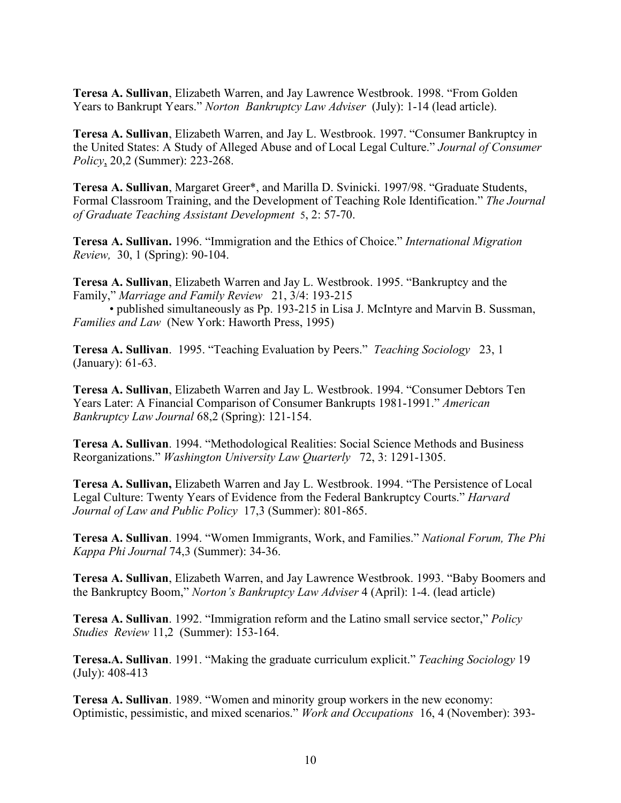**Teresa A. Sullivan**, Elizabeth Warren, and Jay Lawrence Westbrook. 1998. "From Golden Years to Bankrupt Years." *Norton Bankruptcy Law Adviser* (July): 1-14 (lead article).

**Teresa A. Sullivan**, Elizabeth Warren, and Jay L. Westbrook. 1997. "Consumer Bankruptcy in the United States: A Study of Alleged Abuse and of Local Legal Culture." *Journal of Consumer Policy*, 20,2 (Summer): 223-268.

**Teresa A. Sullivan**, Margaret Greer\*, and Marilla D. Svinicki. 1997/98. "Graduate Students, Formal Classroom Training, and the Development of Teaching Role Identification." *The Journal of Graduate Teaching Assistant Development* 5, 2: 57-70.

**Teresa A. Sullivan.** 1996. "Immigration and the Ethics of Choice." *International Migration Review,* 30, 1 (Spring): 90-104.

**Teresa A. Sullivan**, Elizabeth Warren and Jay L. Westbrook. 1995. "Bankruptcy and the Family," *Marriage and Family Review* 21, 3/4: 193-215

• published simultaneously as Pp. 193-215 in Lisa J. McIntyre and Marvin B. Sussman, *Families and Law* (New York: Haworth Press, 1995)

**Teresa A. Sullivan**. 1995. "Teaching Evaluation by Peers." *Teaching Sociology* 23, 1 (January): 61-63.

**Teresa A. Sullivan**, Elizabeth Warren and Jay L. Westbrook. 1994. "Consumer Debtors Ten Years Later: A Financial Comparison of Consumer Bankrupts 1981-1991." *American Bankruptcy Law Journal* 68,2 (Spring): 121-154.

**Teresa A. Sullivan**. 1994. "Methodological Realities: Social Science Methods and Business Reorganizations." *Washington University Law Quarterly* 72, 3: 1291-1305.

**Teresa A. Sullivan,** Elizabeth Warren and Jay L. Westbrook. 1994. "The Persistence of Local Legal Culture: Twenty Years of Evidence from the Federal Bankruptcy Courts." *Harvard Journal of Law and Public Policy* 17,3 (Summer): 801-865.

**Teresa A. Sullivan**. 1994. "Women Immigrants, Work, and Families." *National Forum, The Phi Kappa Phi Journal* 74,3 (Summer): 34-36.

**Teresa A. Sullivan**, Elizabeth Warren, and Jay Lawrence Westbrook. 1993. "Baby Boomers and the Bankruptcy Boom," *Norton's Bankruptcy Law Adviser* 4 (April): 1-4. (lead article)

**Teresa A. Sullivan**. 1992. "Immigration reform and the Latino small service sector," *Policy Studies Review* 11,2(Summer): 153-164.

**Teresa.A. Sullivan**. 1991. "Making the graduate curriculum explicit." *Teaching Sociology* 19 (July): 408-413

**Teresa A. Sullivan**. 1989. "Women and minority group workers in the new economy: Optimistic, pessimistic, and mixed scenarios." *Work and Occupations* 16, 4 (November): 393-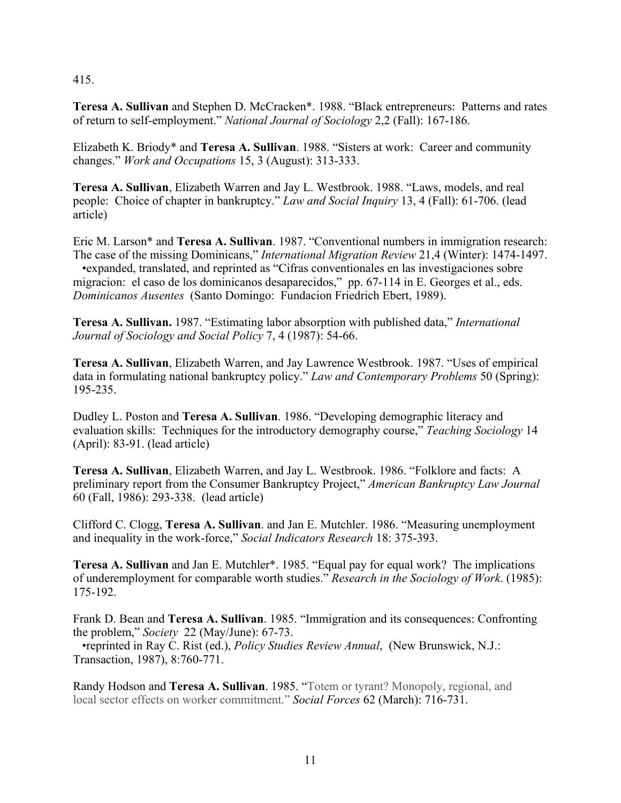### 415.

**Teresa A. Sullivan** and Stephen D. McCracken\*. 1988. "Black entrepreneurs: Patterns and rates of return to self-employment." *National Journal of Sociology* 2,2 (Fall): 167-186.

Elizabeth K. Briody\* and **Teresa A. Sullivan**. 1988. "Sisters at work: Career and community changes." *Work and Occupations* 15, 3 (August): 313-333.

**Teresa A. Sullivan**, Elizabeth Warren and Jay L. Westbrook. 1988. "Laws, models, and real people: Choice of chapter in bankruptcy." *Law and Social Inquiry* 13, 4 (Fall): 61-706. (lead article)

Eric M. Larson\* and **Teresa A. Sullivan**. 1987. "Conventional numbers in immigration research: The case of the missing Dominicans," *International Migration Review* 21,4 (Winter): 1474-1497. •expanded, translated, and reprinted as "Cifras conventionales en las investigaciones sobre migracion: el caso de los dominicanos desaparecidos," pp. 67-114 in E. Georges et al., eds. *Dominicanos Ausentes* (Santo Domingo: Fundacion Friedrich Ebert, 1989).

**Teresa A. Sullivan.** 1987. "Estimating labor absorption with published data," *International Journal of Sociology and Social Policy* 7, 4 (1987): 54-66.

**Teresa A. Sullivan**, Elizabeth Warren, and Jay Lawrence Westbrook. 1987. "Uses of empirical data in formulating national bankruptcy policy." *Law and Contemporary Problems* 50 (Spring): 195-235.

Dudley L. Poston and **Teresa A. Sullivan**. 1986. "Developing demographic literacy and evaluation skills: Techniques for the introductory demography course," *Teaching Sociology* 14 (April): 83-91. (lead article)

**Teresa A. Sullivan**, Elizabeth Warren, and Jay L. Westbrook. 1986. "Folklore and facts: A preliminary report from the Consumer Bankruptcy Project," *American Bankruptcy Law Journal* 60 (Fall, 1986): 293-338. (lead article)

Clifford C. Clogg, **Teresa A. Sullivan**. and Jan E. Mutchler. 1986. "Measuring unemployment and inequality in the work-force," *Social Indicators Research* 18: 375-393.

**Teresa A. Sullivan** and Jan E. Mutchler\*. 1985. "Equal pay for equal work? The implications of underemployment for comparable worth studies." *Research in the Sociology of Work*. (1985): 175-192.

Frank D. Bean and **Teresa A. Sullivan**. 1985. "Immigration and its consequences: Confronting the problem," *Society* 22 (May/June): 67-73.

 •reprinted in Ray C. Rist (ed.), *Policy Studies Review Annual*, (New Brunswick, N.J.: Transaction, 1987), 8:760-771.

Randy Hodson and **Teresa A. Sullivan**. 1985. "Totem or tyrant? Monopoly, regional, and local sector effects on worker commitment." *Social Forces* 62 (March): 716-731.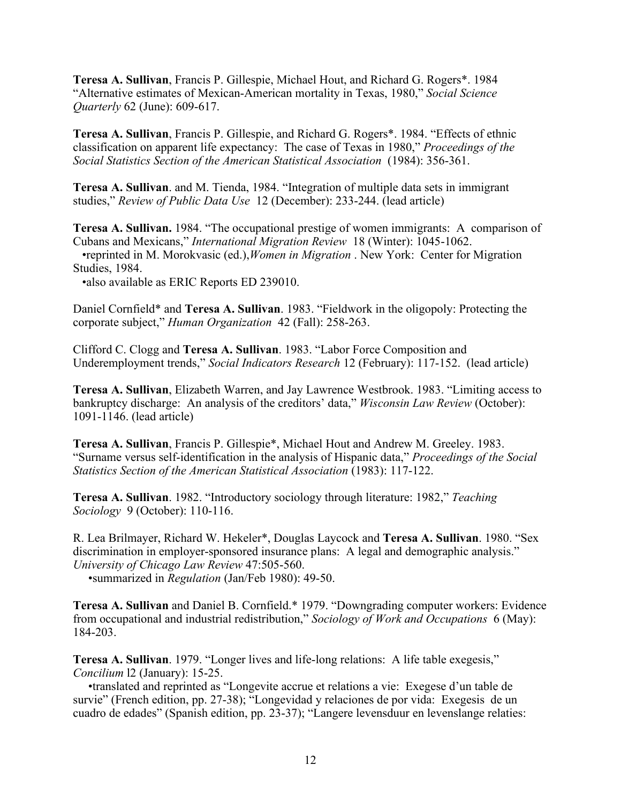**Teresa A. Sullivan**, Francis P. Gillespie, Michael Hout, and Richard G. Rogers\*. 1984 "Alternative estimates of Mexican-American mortality in Texas, 1980," *Social Science Quarterly* 62 (June): 609-617.

**Teresa A. Sullivan**, Francis P. Gillespie, and Richard G. Rogers\*. 1984. "Effects of ethnic classification on apparent life expectancy: The case of Texas in 1980," *Proceedings of the Social Statistics Section of the American Statistical Association* (1984): 356-361.

**Teresa A. Sullivan**. and M. Tienda, 1984. "Integration of multiple data sets in immigrant studies," *Review of Public Data Use* 12 (December): 233-244. (lead article)

**Teresa A. Sullivan.** 1984. "The occupational prestige of women immigrants: A comparison of Cubans and Mexicans," *International Migration Review* 18 (Winter): 1045-1062. •reprinted in M. Morokvasic (ed.),*Women in Migration* . New York: Center for Migration Studies, 1984.

•also available as ERIC Reports ED 239010.

Daniel Cornfield\* and **Teresa A. Sullivan**. 1983. "Fieldwork in the oligopoly: Protecting the corporate subject," *Human Organization* 42 (Fall): 258-263.

Clifford C. Clogg and **Teresa A. Sullivan**. 1983. "Labor Force Composition and Underemployment trends," *Social Indicators Research* 12 (February): 117-152. (lead article)

**Teresa A. Sullivan**, Elizabeth Warren, and Jay Lawrence Westbrook. 1983. "Limiting access to bankruptcy discharge: An analysis of the creditors' data," *Wisconsin Law Review* (October): 1091-1146. (lead article)

**Teresa A. Sullivan**, Francis P. Gillespie\*, Michael Hout and Andrew M. Greeley. 1983. "Surname versus self-identification in the analysis of Hispanic data," *Proceedings of the Social Statistics Section of the American Statistical Association* (1983): 117-122.

**Teresa A. Sullivan**. 1982. "Introductory sociology through literature: 1982," *Teaching Sociology* 9 (October): 110-116.

R. Lea Brilmayer, Richard W. Hekeler\*, Douglas Laycock and **Teresa A. Sullivan**. 1980. "Sex discrimination in employer-sponsored insurance plans: A legal and demographic analysis." *University of Chicago Law Review* 47:505-560.

•summarized in *Regulation* (Jan/Feb 1980): 49-50.

**Teresa A. Sullivan** and Daniel B. Cornfield.\* 1979. "Downgrading computer workers: Evidence from occupational and industrial redistribution," *Sociology of Work and Occupations* 6 (May): 184-203.

**Teresa A. Sullivan**. 1979. "Longer lives and life-long relations: A life table exegesis," *Concilium* l2 (January): 15-25.

 •translated and reprinted as "Longevite accrue et relations a vie: Exegese d'un table de survie" (French edition, pp. 27-38); "Longevidad y relaciones de por vida: Exegesis de un cuadro de edades" (Spanish edition, pp. 23-37); "Langere levensduur en levenslange relaties: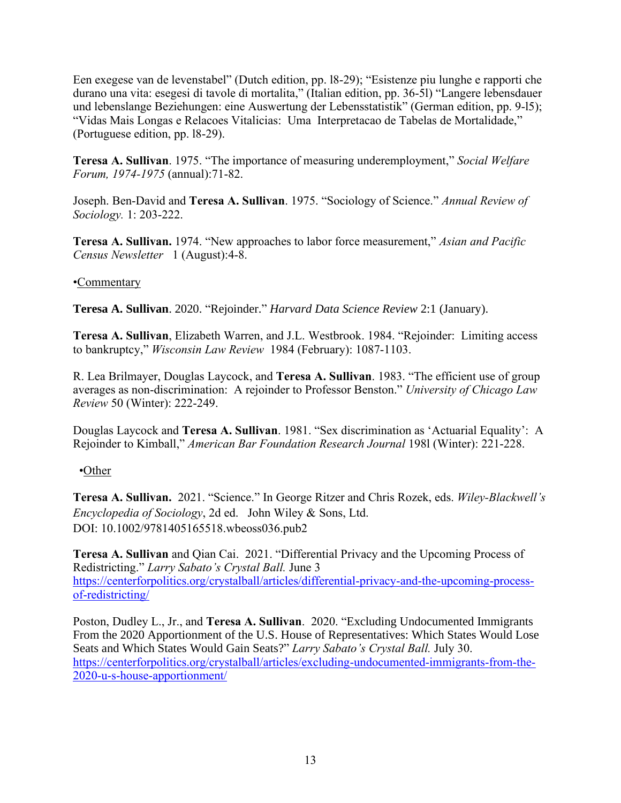Een exegese van de levenstabel" (Dutch edition, pp. l8-29); "Esistenze piu lunghe e rapporti che durano una vita: esegesi di tavole di mortalita," (Italian edition, pp. 36-5l) "Langere lebensdauer und lebenslange Beziehungen: eine Auswertung der Lebensstatistik" (German edition, pp. 9-l5); "Vidas Mais Longas e Relacoes Vitalicias: Uma Interpretacao de Tabelas de Mortalidade," (Portuguese edition, pp. l8-29).

**Teresa A. Sullivan**. 1975. "The importance of measuring underemployment," *Social Welfare Forum, 1974-1975* (annual):71-82.

Joseph. Ben-David and **Teresa A. Sullivan**. 1975. "Sociology of Science." *Annual Review of Sociology.* 1: 203-222.

**Teresa A. Sullivan.** 1974. "New approaches to labor force measurement," *Asian and Pacific Census Newsletter* 1 (August):4-8.

# •Commentary

**Teresa A. Sullivan**. 2020. "Rejoinder." *Harvard Data Science Review* 2:1 (January).

**Teresa A. Sullivan**, Elizabeth Warren, and J.L. Westbrook. 1984. "Rejoinder: Limiting access to bankruptcy," *Wisconsin Law Review* 1984 (February): 1087-1103.

R. Lea Brilmayer, Douglas Laycock, and **Teresa A. Sullivan**. 1983. "The efficient use of group averages as non-discrimination: A rejoinder to Professor Benston." *University of Chicago Law Review* 50 (Winter): 222-249.

Douglas Laycock and **Teresa A. Sullivan**. 1981. "Sex discrimination as 'Actuarial Equality': A Rejoinder to Kimball," *American Bar Foundation Research Journal* 198l (Winter): 221-228.

# •Other

**Teresa A. Sullivan.** 2021. "Science." In George Ritzer and Chris Rozek, eds. *Wiley-Blackwell's Encyclopedia of Sociology*, 2d ed. John Wiley & Sons, Ltd. DOI: 10.1002/9781405165518.wbeoss036.pub2

**Teresa A. Sullivan** and Qian Cai. 2021. "Differential Privacy and the Upcoming Process of Redistricting." *Larry Sabato's Crystal Ball.* June 3 [https://centerforpolitics.org/crystalball/articles/differential-privacy-and-the-upcoming-process](https://centerforpolitics.org/crystalball/articles/differential-privacy-and-the-upcoming-process-of-redistricting/)[of-redistricting/](https://centerforpolitics.org/crystalball/articles/differential-privacy-and-the-upcoming-process-of-redistricting/)

Poston, Dudley L., Jr., and **Teresa A. Sullivan**. 2020. "Excluding Undocumented Immigrants From the 2020 Apportionment of the U.S. House of Representatives: Which States Would Lose Seats and Which States Would Gain Seats?" *Larry Sabato's Crystal Ball.* July 30. [https://centerforpolitics.org/crystalball/articles/excluding-undocumented-immigrants-from-the-](https://centerforpolitics.org/crystalball/articles/excluding-undocumented-immigrants-from-the-2020-u-s-house-apportionment/)[2020-u-s-house-apportionment/](https://centerforpolitics.org/crystalball/articles/excluding-undocumented-immigrants-from-the-2020-u-s-house-apportionment/)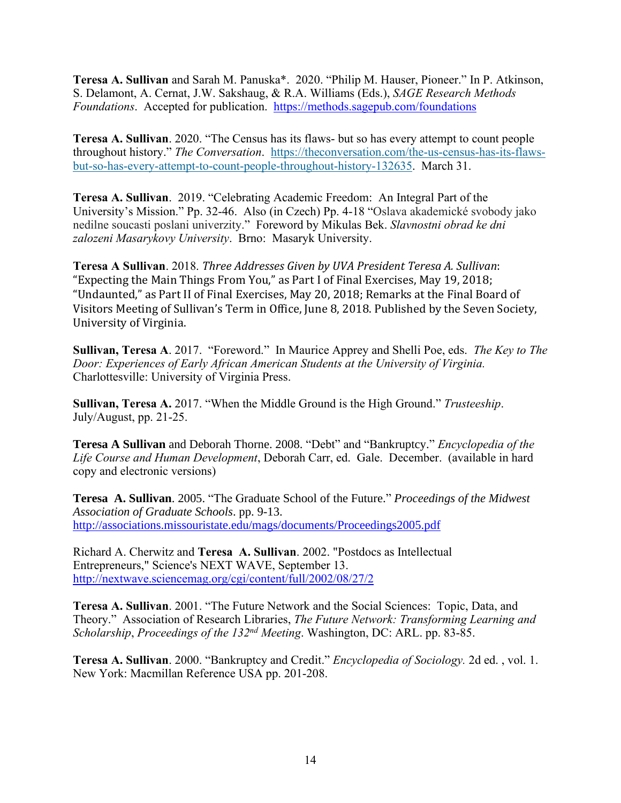**Teresa A. Sullivan** and Sarah M. Panuska\*. 2020. "Philip M. Hauser, Pioneer." In P. Atkinson, S. Delamont, A. Cernat, J.W. Sakshaug, & R.A. Williams (Eds.), *SAGE Research Methods Foundations*. Accepted for publication. <https://methods.sagepub.com/foundations>

**Teresa A. Sullivan**. 2020. "The Census has its flaws- but so has every attempt to count people throughout history." *The Conversation*. [https://theconversation.com/the-us-census-has-its-flaws](https://theconversation.com/the-us-census-has-its-flaws-but-so-has-every-attempt-to-count-people-throughout-history-132635)[but-so-has-every-attempt-to-count-people-throughout-history-132635.](https://theconversation.com/the-us-census-has-its-flaws-but-so-has-every-attempt-to-count-people-throughout-history-132635) March 31.

**Teresa A. Sullivan**. 2019. "Celebrating Academic Freedom: An Integral Part of the University's Mission." Pp. 32-46. Also (in Czech) Pp. 4-18 "Oslava akademické svobody jako nedilne soucasti poslani univerzity." Foreword by Mikulas Bek. *Slavnostni obrad ke dni zalozeni Masarykovy University*. Brno: Masaryk University.

**Teresa A Sullivan**. 2018. *Three Addresses Given by UVA President Teresa A. Sullivan*: "Expecting the Main Things From You," as Part I of Final Exercises, May 19, 2018; "Undaunted," as Part II of Final Exercises, May 20, 2018; Remarks at the Final Board of Visitors Meeting of Sullivan's Term in Office, June 8, 2018. Published by the Seven Society, University of Virginia.

**Sullivan, Teresa A**. 2017. "Foreword." In Maurice Apprey and Shelli Poe, eds. *The Key to The Door: Experiences of Early African American Students at the University of Virginia.* Charlottesville: University of Virginia Press.

**Sullivan, Teresa A.** 2017. "When the Middle Ground is the High Ground." *Trusteeship*. July/August, pp. 21-25.

**Teresa A Sullivan** and Deborah Thorne. 2008. "Debt" and "Bankruptcy." *Encyclopedia of the Life Course and Human Development*, Deborah Carr, ed. Gale. December. (available in hard copy and electronic versions)

**Teresa A. Sullivan**. 2005. "The Graduate School of the Future." *Proceedings of the Midwest Association of Graduate Schools*. pp. 9-13. <http://associations.missouristate.edu/mags/documents/Proceedings2005.pdf>

Richard A. Cherwitz and **Teresa A. Sullivan**. 2002. "Postdocs as Intellectual Entrepreneurs," Science's NEXT WAVE, September 13. <http://nextwave.sciencemag.org/cgi/content/full/2002/08/27/2>

**Teresa A. Sullivan**. 2001. "The Future Network and the Social Sciences: Topic, Data, and Theory." Association of Research Libraries, *The Future Network: Transforming Learning and Scholarship*, *Proceedings of the 132nd Meeting*. Washington, DC: ARL. pp. 83-85.

**Teresa A. Sullivan**. 2000. "Bankruptcy and Credit." *Encyclopedia of Sociology.* 2d ed. , vol. 1. New York: Macmillan Reference USA pp. 201-208.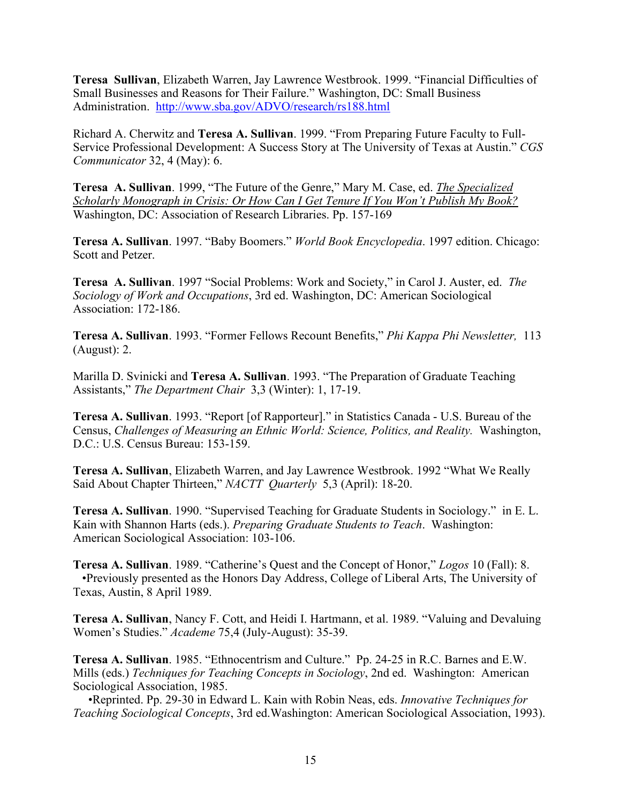**Teresa Sullivan**, Elizabeth Warren, Jay Lawrence Westbrook. 1999. "Financial Difficulties of Small Businesses and Reasons for Their Failure." Washington, DC: Small Business Administration. <http://www.sba.gov/ADVO/research/rs188.html>

Richard A. Cherwitz and **Teresa A. Sullivan**. 1999. "From Preparing Future Faculty to Full-Service Professional Development: A Success Story at The University of Texas at Austin." *CGS Communicator* 32, 4 (May): 6.

**Teresa A. Sullivan**. 1999, "The Future of the Genre," Mary M. Case, ed. *The Specialized Scholarly Monograph in Crisis: Or How Can I Get Tenure If You Won't Publish My Book?* Washington, DC: Association of Research Libraries. Pp. 157-169

**Teresa A. Sullivan**. 1997. "Baby Boomers." *World Book Encyclopedia*. 1997 edition. Chicago: Scott and Petzer.

**Teresa A. Sullivan**. 1997 "Social Problems: Work and Society," in Carol J. Auster, ed. *The Sociology of Work and Occupations*, 3rd ed. Washington, DC: American Sociological Association: 172-186.

**Teresa A. Sullivan**. 1993. "Former Fellows Recount Benefits," *Phi Kappa Phi Newsletter,* 113 (August): 2.

Marilla D. Svinicki and **Teresa A. Sullivan**. 1993. "The Preparation of Graduate Teaching Assistants," *The Department Chair* 3,3 (Winter): 1, 17-19.

**Teresa A. Sullivan**. 1993. "Report [of Rapporteur]." in Statistics Canada - U.S. Bureau of the Census, *Challenges of Measuring an Ethnic World: Science, Politics, and Reality.* Washington, D.C.: U.S. Census Bureau: 153-159.

**Teresa A. Sullivan**, Elizabeth Warren, and Jay Lawrence Westbrook. 1992 "What We Really Said About Chapter Thirteen," *NACTT Quarterly* 5,3 (April): 18-20.

**Teresa A. Sullivan**. 1990. "Supervised Teaching for Graduate Students in Sociology." in E. L. Kain with Shannon Harts (eds.). *Preparing Graduate Students to Teach*. Washington: American Sociological Association: 103-106.

**Teresa A. Sullivan**. 1989. "Catherine's Quest and the Concept of Honor," *Logos* 10 (Fall): 8. •Previously presented as the Honors Day Address, College of Liberal Arts, The University of Texas, Austin, 8 April 1989.

**Teresa A. Sullivan**, Nancy F. Cott, and Heidi I. Hartmann, et al. 1989. "Valuing and Devaluing Women's Studies." *Academe* 75,4 (July-August): 35-39.

**Teresa A. Sullivan**. 1985. "Ethnocentrism and Culture." Pp. 24-25 in R.C. Barnes and E.W. Mills (eds.) *Techniques for Teaching Concepts in Sociology*, 2nd ed. Washington: American Sociological Association, 1985.

 •Reprinted. Pp. 29-30 in Edward L. Kain with Robin Neas, eds. *Innovative Techniques for Teaching Sociological Concepts*, 3rd ed.Washington: American Sociological Association, 1993).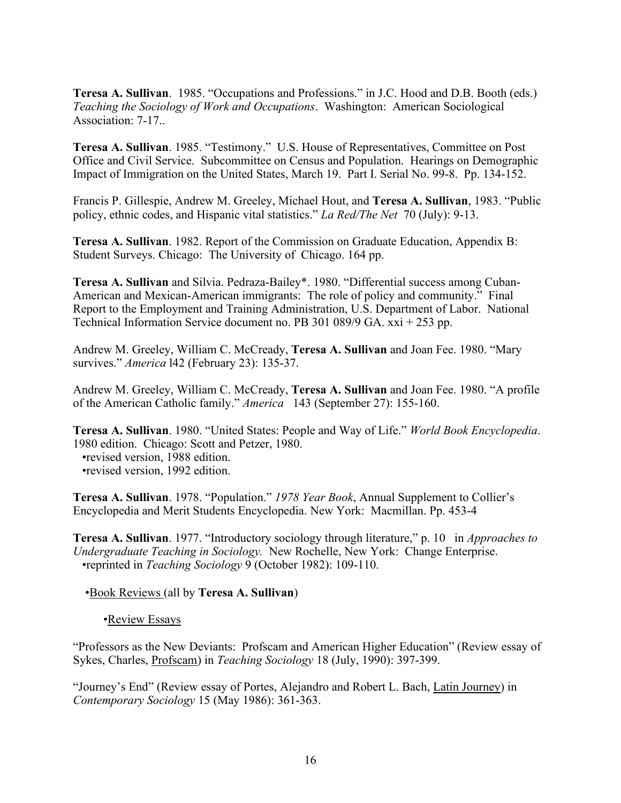**Teresa A. Sullivan**. 1985. "Occupations and Professions." in J.C. Hood and D.B. Booth (eds.) *Teaching the Sociology of Work and Occupations*. Washington: American Sociological Association: 7-17..

**Teresa A. Sullivan**. 1985. "Testimony." U.S. House of Representatives, Committee on Post Office and Civil Service. Subcommittee on Census and Population. Hearings on Demographic Impact of Immigration on the United States, March 19. Part I. Serial No. 99-8. Pp. 134-152.

Francis P. Gillespie, Andrew M. Greeley, Michael Hout, and **Teresa A. Sullivan**, 1983. "Public policy, ethnic codes, and Hispanic vital statistics." *La Red/The Net* 70 (July): 9-13.

**Teresa A. Sullivan**. 1982. Report of the Commission on Graduate Education, Appendix B: Student Surveys. Chicago: The University of Chicago. 164 pp.

**Teresa A. Sullivan** and Silvia. Pedraza-Bailey\*. 1980. "Differential success among Cuban-American and Mexican-American immigrants: The role of policy and community." Final Report to the Employment and Training Administration, U.S. Department of Labor. National Technical Information Service document no. PB 301 089/9 GA. xxi + 253 pp.

Andrew M. Greeley, William C. McCready, **Teresa A. Sullivan** and Joan Fee. 1980. "Mary survives." *America* l42 (February 23): 135-37.

Andrew M. Greeley, William C. McCready, **Teresa A. Sullivan** and Joan Fee. 1980. "A profile of the American Catholic family." *America* 143 (September 27): 155-160.

**Teresa A. Sullivan**. 1980. "United States: People and Way of Life." *World Book Encyclopedia*. 1980 edition. Chicago: Scott and Petzer, 1980.

 •revised version, 1988 edition. •revised version, 1992 edition.

**Teresa A. Sullivan**. 1978. "Population." *1978 Year Book*, Annual Supplement to Collier's Encyclopedia and Merit Students Encyclopedia. New York: Macmillan. Pp. 453-4

**Teresa A. Sullivan**. 1977. "Introductory sociology through literature," p. 10 in *Approaches to Undergraduate Teaching in Sociology.* New Rochelle, New York: Change Enterprise. •reprinted in *Teaching Sociology* 9 (October 1982): 109-110.

•Book Reviews (all by **Teresa A. Sullivan**)

•Review Essays

"Professors as the New Deviants: Profscam and American Higher Education" (Review essay of Sykes, Charles, Profscam) in *Teaching Sociology* 18 (July, 1990): 397-399.

"Journey's End" (Review essay of Portes, Alejandro and Robert L. Bach, Latin Journey) in *Contemporary Sociology* 15 (May 1986): 361-363.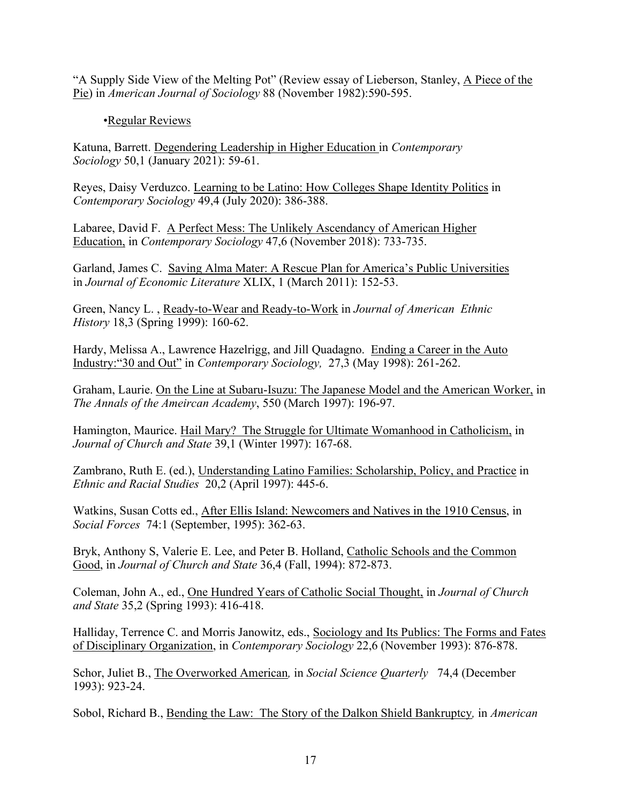"A Supply Side View of the Melting Pot" (Review essay of Lieberson, Stanley, A Piece of the Pie) in *American Journal of Sociology* 88 (November 1982):590-595.

# •Regular Reviews

Katuna, Barrett. Degendering Leadership in Higher Education in *Contemporary Sociology* 50,1 (January 2021): 59-61.

Reyes, Daisy Verduzco. Learning to be Latino: How Colleges Shape Identity Politics in *Contemporary Sociology* 49,4 (July 2020): 386-388.

Labaree, David F. A Perfect Mess: The Unlikely Ascendancy of American Higher Education, in *Contemporary Sociology* 47,6 (November 2018): 733-735.

Garland, James C. Saving Alma Mater: A Rescue Plan for America's Public Universities in *Journal of Economic Literature* XLIX, 1 (March 2011): 152-53.

Green, Nancy L. , Ready-to-Wear and Ready-to-Work in *Journal of American Ethnic History* 18,3 (Spring 1999): 160-62.

Hardy, Melissa A., Lawrence Hazelrigg, and Jill Quadagno. Ending a Career in the Auto Industry:"30 and Out" in *Contemporary Sociology,* 27,3 (May 1998): 261-262.

Graham, Laurie. On the Line at Subaru-Isuzu: The Japanese Model and the American Worker, in *The Annals of the Ameircan Academy*, 550 (March 1997): 196-97.

Hamington, Maurice. Hail Mary? The Struggle for Ultimate Womanhood in Catholicism, in *Journal of Church and State* 39,1 (Winter 1997): 167-68.

Zambrano, Ruth E. (ed.), Understanding Latino Families: Scholarship, Policy, and Practice in *Ethnic and Racial Studies* 20,2 (April 1997): 445-6.

Watkins, Susan Cotts ed., After Ellis Island: Newcomers and Natives in the 1910 Census, in *Social Forces* 74:1 (September, 1995): 362-63.

Bryk, Anthony S, Valerie E. Lee, and Peter B. Holland, Catholic Schools and the Common Good, in *Journal of Church and State* 36,4 (Fall, 1994): 872-873.

Coleman, John A., ed., One Hundred Years of Catholic Social Thought, in *Journal of Church and State* 35,2 (Spring 1993): 416-418.

Halliday, Terrence C. and Morris Janowitz, eds., Sociology and Its Publics: The Forms and Fates of Disciplinary Organization, in *Contemporary Sociology* 22,6 (November 1993): 876-878.

Schor, Juliet B., The Overworked American*,* in *Social Science Quarterly* 74,4 (December 1993): 923-24.

Sobol, Richard B., Bending the Law: The Story of the Dalkon Shield Bankruptcy*,* in *American*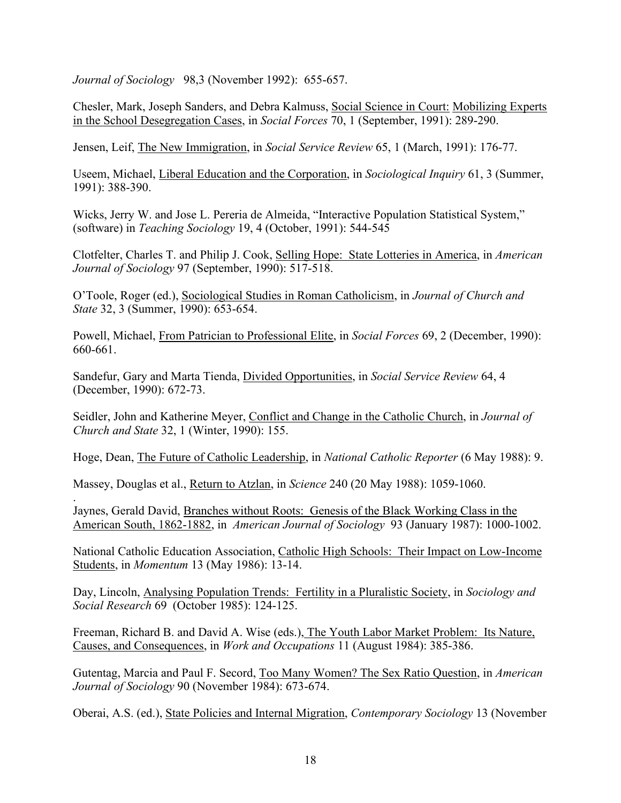*Journal of Sociology* 98,3 (November 1992): 655-657.

Chesler, Mark, Joseph Sanders, and Debra Kalmuss, Social Science in Court: Mobilizing Experts in the School Desegregation Cases, in *Social Forces* 70, 1 (September, 1991): 289-290.

Jensen, Leif, The New Immigration, in *Social Service Review* 65, 1 (March, 1991): 176-77.

Useem, Michael, Liberal Education and the Corporation, in *Sociological Inquiry* 61, 3 (Summer, 1991): 388-390.

Wicks, Jerry W. and Jose L. Pereria de Almeida, "Interactive Population Statistical System," (software) in *Teaching Sociology* 19, 4 (October, 1991): 544-545

Clotfelter, Charles T. and Philip J. Cook, Selling Hope: State Lotteries in America, in *American Journal of Sociology* 97 (September, 1990): 517-518.

O'Toole, Roger (ed.), Sociological Studies in Roman Catholicism, in *Journal of Church and State* 32, 3 (Summer, 1990): 653-654.

Powell, Michael, From Patrician to Professional Elite, in *Social Forces* 69, 2 (December, 1990): 660-661.

Sandefur, Gary and Marta Tienda, Divided Opportunities, in *Social Service Review* 64, 4 (December, 1990): 672-73.

Seidler, John and Katherine Meyer, Conflict and Change in the Catholic Church, in *Journal of Church and State* 32, 1 (Winter, 1990): 155.

Hoge, Dean, The Future of Catholic Leadership, in *National Catholic Reporter* (6 May 1988): 9.

Massey, Douglas et al., Return to Atzlan, in *Science* 240 (20 May 1988): 1059-1060.

. Jaynes, Gerald David, Branches without Roots: Genesis of the Black Working Class in the American South, 1862-1882, in *American Journal of Sociology* 93 (January 1987): 1000-1002.

National Catholic Education Association, Catholic High Schools: Their Impact on Low-Income Students, in *Momentum* 13 (May 1986): 13-14.

Day, Lincoln, Analysing Population Trends: Fertility in a Pluralistic Society, in *Sociology and Social Research* 69 (October 1985): 124-125.

Freeman, Richard B. and David A. Wise (eds.), The Youth Labor Market Problem: Its Nature, Causes, and Consequences, in *Work and Occupations* 11 (August 1984): 385-386.

Gutentag, Marcia and Paul F. Secord, Too Many Women? The Sex Ratio Question, in *American Journal of Sociology* 90 (November 1984): 673-674.

Oberai, A.S. (ed.), State Policies and Internal Migration, *Contemporary Sociology* 13 (November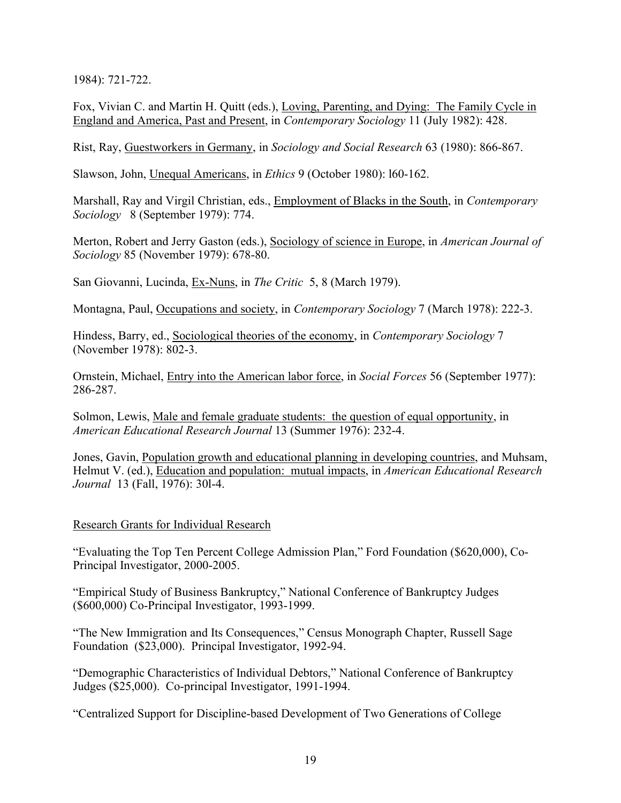1984): 721-722.

Fox, Vivian C. and Martin H. Quitt (eds.), Loving, Parenting, and Dying: The Family Cycle in England and America, Past and Present, in *Contemporary Sociology* 11 (July 1982): 428.

Rist, Ray, Guestworkers in Germany, in *Sociology and Social Research* 63 (1980): 866-867.

Slawson, John, Unequal Americans, in *Ethics* 9 (October 1980): l60-162.

Marshall, Ray and Virgil Christian, eds., Employment of Blacks in the South, in *Contemporary Sociology* 8 (September 1979): 774.

Merton, Robert and Jerry Gaston (eds.), Sociology of science in Europe, in *American Journal of Sociology* 85 (November 1979): 678-80.

San Giovanni, Lucinda, Ex-Nuns, in *The Critic* 5, 8 (March 1979).

Montagna, Paul, Occupations and society, in *Contemporary Sociology* 7 (March 1978): 222-3.

Hindess, Barry, ed., Sociological theories of the economy, in *Contemporary Sociology* 7 (November 1978): 802-3.

Ornstein, Michael, Entry into the American labor force, in *Social Forces* 56 (September 1977): 286-287.

Solmon, Lewis, Male and female graduate students: the question of equal opportunity, in *American Educational Research Journal* 13 (Summer 1976): 232-4.

Jones, Gavin, Population growth and educational planning in developing countries, and Muhsam, Helmut V. (ed.), Education and population: mutual impacts, in *American Educational Research Journal* 13 (Fall, 1976): 30l-4.

## Research Grants for Individual Research

"Evaluating the Top Ten Percent College Admission Plan," Ford Foundation (\$620,000), Co-Principal Investigator, 2000-2005.

"Empirical Study of Business Bankruptcy," National Conference of Bankruptcy Judges (\$600,000) Co-Principal Investigator, 1993-1999.

"The New Immigration and Its Consequences," Census Monograph Chapter, Russell Sage Foundation (\$23,000). Principal Investigator, 1992-94.

"Demographic Characteristics of Individual Debtors," National Conference of Bankruptcy Judges (\$25,000). Co-principal Investigator, 1991-1994.

"Centralized Support for Discipline-based Development of Two Generations of College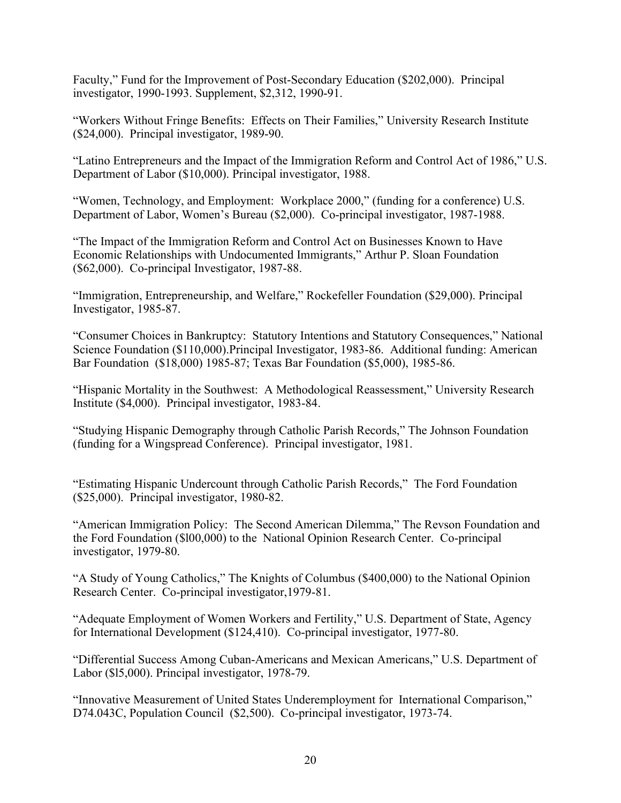Faculty," Fund for the Improvement of Post-Secondary Education (\$202,000). Principal investigator, 1990-1993. Supplement, \$2,312, 1990-91.

"Workers Without Fringe Benefits: Effects on Their Families," University Research Institute (\$24,000). Principal investigator, 1989-90.

"Latino Entrepreneurs and the Impact of the Immigration Reform and Control Act of 1986," U.S. Department of Labor (\$10,000). Principal investigator, 1988.

"Women, Technology, and Employment: Workplace 2000," (funding for a conference) U.S. Department of Labor, Women's Bureau (\$2,000). Co-principal investigator, 1987-1988.

"The Impact of the Immigration Reform and Control Act on Businesses Known to Have Economic Relationships with Undocumented Immigrants," Arthur P. Sloan Foundation (\$62,000). Co-principal Investigator, 1987-88.

"Immigration, Entrepreneurship, and Welfare," Rockefeller Foundation (\$29,000). Principal Investigator, 1985-87.

"Consumer Choices in Bankruptcy: Statutory Intentions and Statutory Consequences," National Science Foundation (\$110,000).Principal Investigator, 1983-86. Additional funding: American Bar Foundation (\$18,000) 1985-87; Texas Bar Foundation (\$5,000), 1985-86.

"Hispanic Mortality in the Southwest: A Methodological Reassessment," University Research Institute (\$4,000). Principal investigator, 1983-84.

"Studying Hispanic Demography through Catholic Parish Records," The Johnson Foundation (funding for a Wingspread Conference). Principal investigator, 1981.

"Estimating Hispanic Undercount through Catholic Parish Records," The Ford Foundation (\$25,000). Principal investigator, 1980-82.

"American Immigration Policy: The Second American Dilemma," The Revson Foundation and the Ford Foundation (\$l00,000) to the National Opinion Research Center. Co-principal investigator, 1979-80.

"A Study of Young Catholics," The Knights of Columbus (\$400,000) to the National Opinion Research Center. Co-principal investigator,1979-81.

"Adequate Employment of Women Workers and Fertility," U.S. Department of State, Agency for International Development (\$124,410). Co-principal investigator, 1977-80.

"Differential Success Among Cuban-Americans and Mexican Americans," U.S. Department of Labor (\$l5,000). Principal investigator, 1978-79.

"Innovative Measurement of United States Underemployment for International Comparison," D74.043C, Population Council (\$2,500). Co-principal investigator, 1973-74.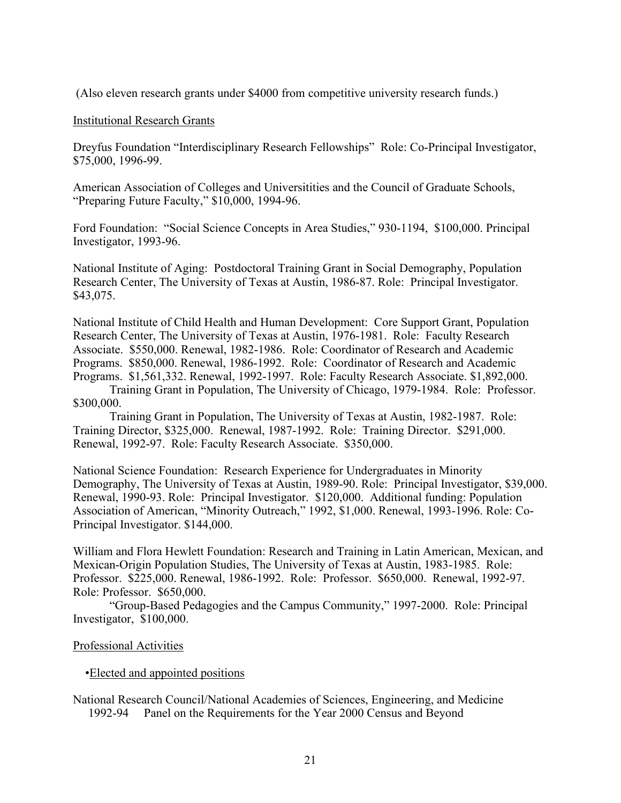(Also eleven research grants under \$4000 from competitive university research funds.)

### Institutional Research Grants

Dreyfus Foundation "Interdisciplinary Research Fellowships" Role: Co-Principal Investigator, \$75,000, 1996-99.

American Association of Colleges and Universitities and the Council of Graduate Schools, "Preparing Future Faculty," \$10,000, 1994-96.

Ford Foundation: "Social Science Concepts in Area Studies," 930-1194, \$100,000. Principal Investigator, 1993-96.

National Institute of Aging: Postdoctoral Training Grant in Social Demography, Population Research Center, The University of Texas at Austin, 1986-87. Role: Principal Investigator. \$43,075.

National Institute of Child Health and Human Development: Core Support Grant, Population Research Center, The University of Texas at Austin, 1976-1981. Role: Faculty Research Associate. \$550,000. Renewal, 1982-1986. Role: Coordinator of Research and Academic Programs. \$850,000. Renewal, 1986-1992. Role: Coordinator of Research and Academic Programs. \$1,561,332. Renewal, 1992-1997. Role: Faculty Research Associate. \$1,892,000.

Training Grant in Population, The University of Chicago, 1979-1984. Role: Professor. \$300,000.

Training Grant in Population, The University of Texas at Austin, 1982-1987. Role: Training Director, \$325,000. Renewal, 1987-1992. Role: Training Director. \$291,000. Renewal, 1992-97. Role: Faculty Research Associate. \$350,000.

National Science Foundation: Research Experience for Undergraduates in Minority Demography, The University of Texas at Austin, 1989-90. Role: Principal Investigator, \$39,000. Renewal, 1990-93. Role: Principal Investigator. \$120,000. Additional funding: Population Association of American, "Minority Outreach," 1992, \$1,000. Renewal, 1993-1996. Role: Co-Principal Investigator. \$144,000.

William and Flora Hewlett Foundation: Research and Training in Latin American, Mexican, and Mexican-Origin Population Studies, The University of Texas at Austin, 1983-1985. Role: Professor. \$225,000. Renewal, 1986-1992. Role: Professor. \$650,000. Renewal, 1992-97. Role: Professor. \$650,000.

"Group-Based Pedagogies and the Campus Community," 1997-2000. Role: Principal Investigator, \$100,000.

## Professional Activities

#### •Elected and appointed positions

National Research Council/National Academies of Sciences, Engineering, and Medicine 1992-94 Panel on the Requirements for the Year 2000 Census and Beyond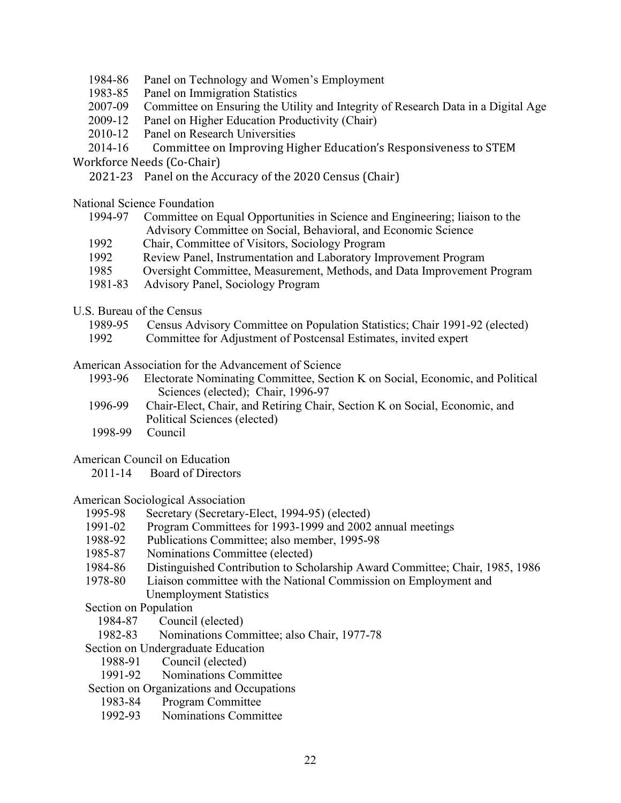- 1984-86 Panel on Technology and Women's Employment
- 1983-85 Panel on Immigration Statistics
- 2007-09 Committee on Ensuring the Utility and Integrity of Research Data in a Digital Age
- 2009-12 Panel on Higher Education Productivity (Chair)
- 2010-12 Panel on Research Universities
- 2014-16 Committee on Improving Higher Education's Responsiveness to STEM

Workforce Needs (Co-Chair)

2021-23 Panel on the Accuracy of the 2020 Census (Chair)

National Science Foundation

- 1994-97 Committee on Equal Opportunities in Science and Engineering; liaison to the Advisory Committee on Social, Behavioral, and Economic Science
- 1992 Chair, Committee of Visitors, Sociology Program
- 1992 Review Panel, Instrumentation and Laboratory Improvement Program
- 1985 Oversight Committee, Measurement, Methods, and Data Improvement Program
- 1981-83 Advisory Panel, Sociology Program
- U.S. Bureau of the Census
	- 1989-95 Census Advisory Committee on Population Statistics; Chair 1991-92 (elected)
	- 1992 Committee for Adjustment of Postcensal Estimates, invited expert

American Association for the Advancement of Science

- 1993-96 Electorate Nominating Committee, Section K on Social, Economic, and Political Sciences (elected); Chair, 1996-97
- 1996-99 Chair-Elect, Chair, and Retiring Chair, Section K on Social, Economic, and Political Sciences (elected)
- 1998-99 Council

### American Council on Education

2011-14 Board of Directors

American Sociological Association

- 1995-98 Secretary (Secretary-Elect, 1994-95) (elected)
- 1991-02 Program Committees for 1993-1999 and 2002 annual meetings
- 1988-92 Publications Committee; also member, 1995-98
- 1985-87 Nominations Committee (elected)
- 1984-86 Distinguished Contribution to Scholarship Award Committee; Chair, 1985, 1986
- 1978-80 Liaison committee with the National Commission on Employment and Unemployment Statistics

Section on Population

- 1984-87 Council (elected)
- 1982-83 Nominations Committee; also Chair, 1977-78
- Section on Undergraduate Education
	- 1988-91 Council (elected)
	- 1991-92 Nominations Committee

## Section on Organizations and Occupations

- 1983-84 Program Committee
- 1992-93 Nominations Committee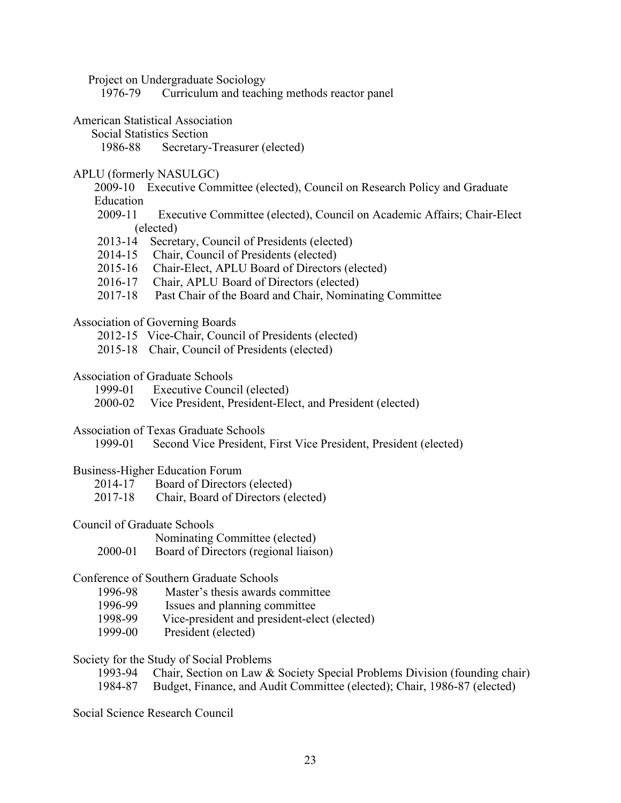Project on Undergraduate Sociology

1976-79 Curriculum and teaching methods reactor panel

- American Statistical Association
	- Social Statistics Section

1986-88 Secretary-Treasurer (elected)

#### APLU (formerly NASULGC)

- 2009-10 Executive Committee (elected), Council on Research Policy and Graduate Education
- 2009-11 Executive Committee (elected), Council on Academic Affairs; Chair-Elect (elected)
- 2013-14 Secretary, Council of Presidents (elected)
- 2014-15 Chair, Council of Presidents (elected)
- 2015-16 Chair-Elect, APLU Board of Directors (elected)
- 2016-17 Chair, APLU Board of Directors (elected)
- 2017-18 Past Chair of the Board and Chair, Nominating Committee

#### Association of Governing Boards

- 2012-15 Vice-Chair, Council of Presidents (elected)
- 2015-18 Chair, Council of Presidents (elected)

## Association of Graduate Schools

- 1999-01 Executive Council (elected)
- 2000-02 Vice President, President-Elect, and President (elected)

#### Association of Texas Graduate Schools

1999-01 Second Vice President, First Vice President, President (elected)

#### Business-Higher Education Forum

- 2014-17 Board of Directors (elected)
- 2017-18 Chair, Board of Directors (elected)

### Council of Graduate Schools

Nominating Committee (elected)

2000-01 Board of Directors (regional liaison)

### Conference of Southern Graduate Schools

- 1996-98 Master's thesis awards committee
- 1996-99 Issues and planning committee
- 1998-99 Vice-president and president-elect (elected)
- 1999-00 President (elected)

### Society for the Study of Social Problems

- 1993-94 Chair, Section on Law & Society Special Problems Division (founding chair)
- 1984-87 Budget, Finance, and Audit Committee (elected); Chair, 1986-87 (elected)

Social Science Research Council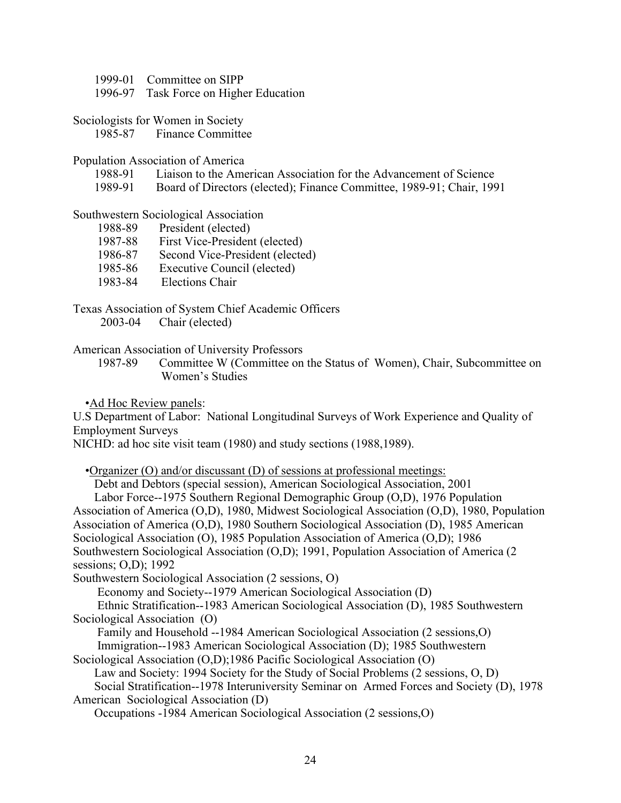- 1999-01 Committee on SIPP
- 1996-97 Task Force on Higher Education
- Sociologists for Women in Society
	- 1985-87 Finance Committee

#### Population Association of America

- 1988-91 Liaison to the American Association for the Advancement of Science
- 1989-91 Board of Directors (elected); Finance Committee, 1989-91; Chair, 1991

#### Southwestern Sociological Association

- 1988-89 President (elected)
- 1987-88 First Vice-President (elected)
- 1986-87 Second Vice-President (elected)
- 1985-86 Executive Council (elected)
- 1983-84 Elections Chair

### Texas Association of System Chief Academic Officers

2003-04 Chair (elected)

American Association of University Professors

 1987-89 Committee W (Committee on the Status of Women), Chair, Subcommittee on Women's Studies

•Ad Hoc Review panels:

U.S Department of Labor: National Longitudinal Surveys of Work Experience and Quality of Employment Surveys

NICHD: ad hoc site visit team (1980) and study sections (1988,1989).

•Organizer (O) and/or discussant (D) of sessions at professional meetings:

 Debt and Debtors (special session), American Sociological Association, 2001 Labor Force--1975 Southern Regional Demographic Group (O,D), 1976 Population

Association of America (O,D), 1980, Midwest Sociological Association (O,D), 1980, Population Association of America (O,D), 1980 Southern Sociological Association (D), 1985 American Sociological Association (O), 1985 Population Association of America (O,D); 1986 Southwestern Sociological Association (O,D); 1991, Population Association of America (2 sessions; O,D); 1992

Southwestern Sociological Association (2 sessions, O)

Economy and Society--1979 American Sociological Association (D)

 Ethnic Stratification--1983 American Sociological Association (D), 1985 Southwestern Sociological Association (O)

 Family and Household --1984 American Sociological Association (2 sessions,O) Immigration--1983 American Sociological Association (D); 1985 Southwestern

Sociological Association (O,D);1986 Pacific Sociological Association (O)

 Law and Society: 1994 Society for the Study of Social Problems (2 sessions, O, D) Social Stratification--1978 Interuniversity Seminar on Armed Forces and Society (D), 1978 American Sociological Association (D)

Occupations -1984 American Sociological Association (2 sessions,O)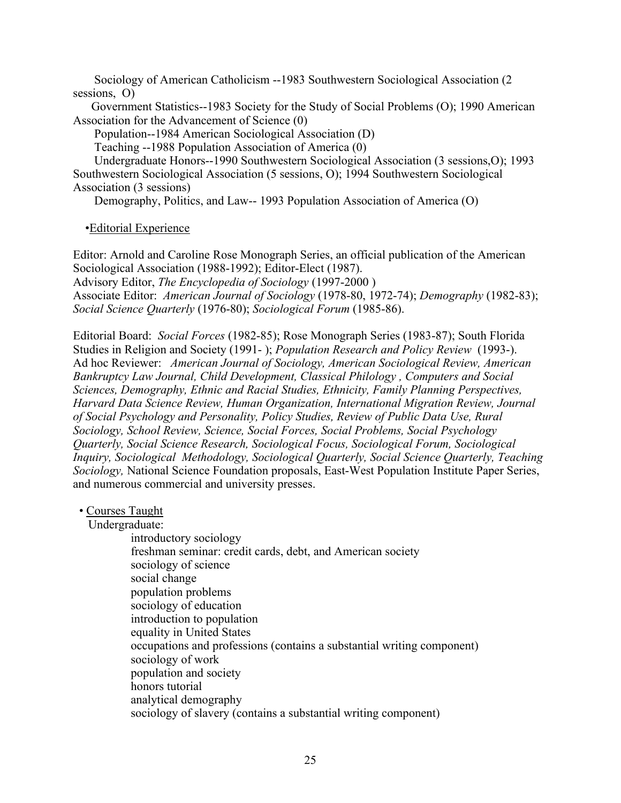Sociology of American Catholicism --1983 Southwestern Sociological Association (2 sessions, O)

 Government Statistics--1983 Society for the Study of Social Problems (O); 1990 American Association for the Advancement of Science (0)

Population--1984 American Sociological Association (D)

Teaching --1988 Population Association of America (0)

 Undergraduate Honors--1990 Southwestern Sociological Association (3 sessions,O); 1993 Southwestern Sociological Association (5 sessions, O); 1994 Southwestern Sociological Association (3 sessions)

Demography, Politics, and Law-- 1993 Population Association of America (O)

•Editorial Experience

Editor: Arnold and Caroline Rose Monograph Series, an official publication of the American Sociological Association (1988-1992); Editor-Elect (1987). Advisory Editor, *The Encyclopedia of Sociology* (1997-2000 ) Associate Editor: *American Journal of Sociology* (1978-80, 1972-74); *Demography* (1982-83); *Social Science Quarterly* (1976-80); *Sociological Forum* (1985-86).

Editorial Board: *Social Forces* (1982-85); Rose Monograph Series (1983-87); South Florida Studies in Religion and Society (1991- ); *Population Research and Policy Review* (1993-). Ad hoc Reviewer: *American Journal of Sociology, American Sociological Review, American Bankruptcy Law Journal, Child Development, Classical Philology , Computers and Social Sciences, Demography, Ethnic and Racial Studies, Ethnicity, Family Planning Perspectives, Harvard Data Science Review, Human Organization, International Migration Review, Journal of Social Psychology and Personality, Policy Studies, Review of Public Data Use, Rural Sociology, School Review, Science, Social Forces, Social Problems, Social Psychology Quarterly, Social Science Research, Sociological Focus, Sociological Forum, Sociological Inquiry, Sociological Methodology, Sociological Quarterly, Social Science Quarterly, Teaching Sociology,* National Science Foundation proposals, East-West Population Institute Paper Series, and numerous commercial and university presses.

#### • Courses Taught

Undergraduate:

 introductory sociology freshman seminar: credit cards, debt, and American society sociology of science social change population problems sociology of education introduction to population equality in United States occupations and professions (contains a substantial writing component) sociology of work population and society honors tutorial analytical demography sociology of slavery (contains a substantial writing component)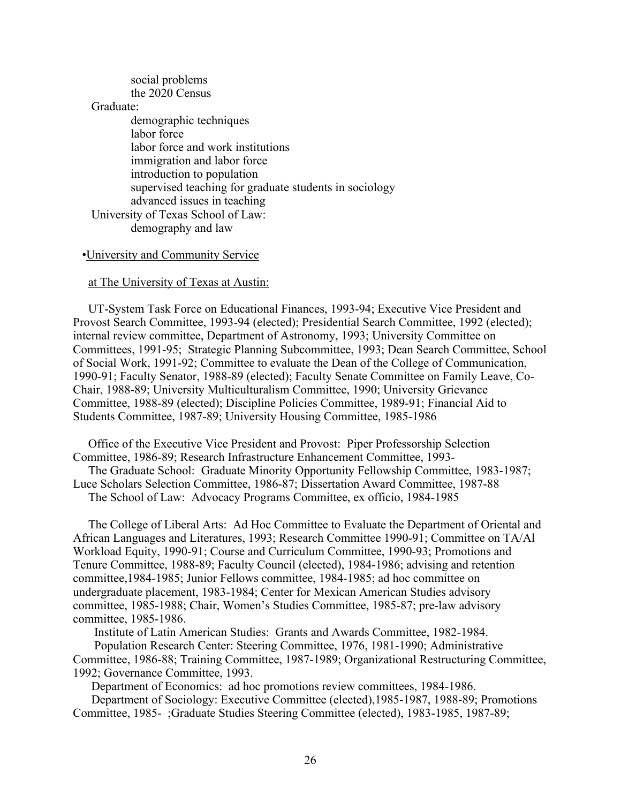|           | social problems                                        |
|-----------|--------------------------------------------------------|
|           | the 2020 Census                                        |
| Graduate: |                                                        |
|           | demographic techniques                                 |
|           | labor force                                            |
|           | labor force and work institutions                      |
|           | immigration and labor force                            |
|           | introduction to population                             |
|           | supervised teaching for graduate students in sociology |
|           | advanced issues in teaching                            |
|           | University of Texas School of Law:                     |
|           | demography and law                                     |
|           |                                                        |

#### •University and Community Service

#### at The University of Texas at Austin:

 UT-System Task Force on Educational Finances, 1993-94; Executive Vice President and Provost Search Committee, 1993-94 (elected); Presidential Search Committee, 1992 (elected); internal review committee, Department of Astronomy, 1993; University Committee on Committees, 1991-95; Strategic Planning Subcommittee, 1993; Dean Search Committee, School of Social Work, 1991-92; Committee to evaluate the Dean of the College of Communication, 1990-91; Faculty Senator, 1988-89 (elected); Faculty Senate Committee on Family Leave, Co-Chair, 1988-89; University Multiculturalism Committee, 1990; University Grievance Committee, 1988-89 (elected); Discipline Policies Committee, 1989-91; Financial Aid to Students Committee, 1987-89; University Housing Committee, 1985-1986

 Office of the Executive Vice President and Provost: Piper Professorship Selection Committee, 1986-89; Research Infrastructure Enhancement Committee, 1993-

 The Graduate School: Graduate Minority Opportunity Fellowship Committee, 1983-1987; Luce Scholars Selection Committee, 1986-87; Dissertation Award Committee, 1987-88 The School of Law: Advocacy Programs Committee, ex officio, 1984-1985

 The College of Liberal Arts: Ad Hoc Committee to Evaluate the Department of Oriental and African Languages and Literatures, 1993; Research Committee 1990-91; Committee on TA/Al Workload Equity, 1990-91; Course and Curriculum Committee, 1990-93; Promotions and Tenure Committee, 1988-89; Faculty Council (elected), 1984-1986; advising and retention committee,1984-1985; Junior Fellows committee, 1984-1985; ad hoc committee on undergraduate placement, 1983-1984; Center for Mexican American Studies advisory committee, 1985-1988; Chair, Women's Studies Committee, 1985-87; pre-law advisory committee, 1985-1986.

 Institute of Latin American Studies: Grants and Awards Committee, 1982-1984. Population Research Center: Steering Committee, 1976, 1981-1990; Administrative Committee, 1986-88; Training Committee, 1987-1989; Organizational Restructuring Committee,

1992; Governance Committee, 1993.

Department of Economics: ad hoc promotions review committees, 1984-1986.

 Department of Sociology: Executive Committee (elected),1985-1987, 1988-89; Promotions Committee, 1985- ;Graduate Studies Steering Committee (elected), 1983-1985, 1987-89;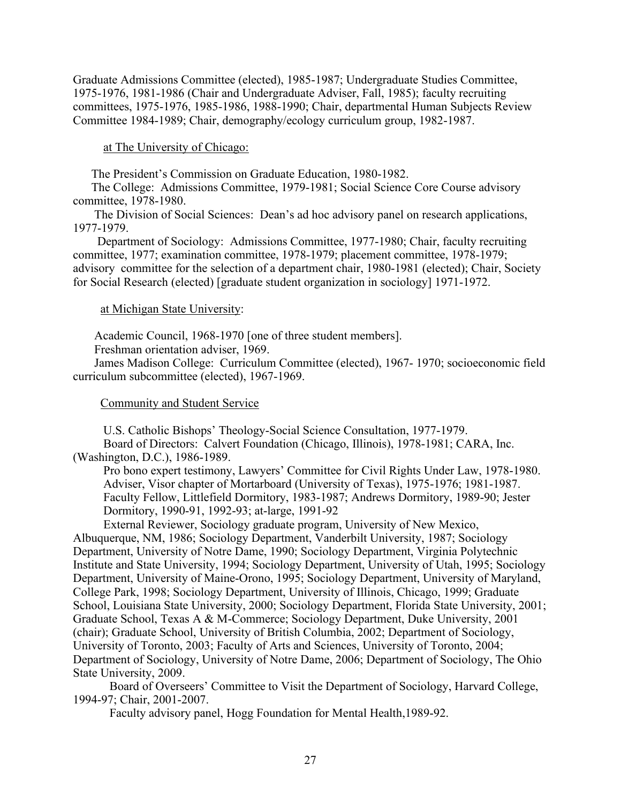Graduate Admissions Committee (elected), 1985-1987; Undergraduate Studies Committee, 1975-1976, 1981-1986 (Chair and Undergraduate Adviser, Fall, 1985); faculty recruiting committees, 1975-1976, 1985-1986, 1988-1990; Chair, departmental Human Subjects Review Committee 1984-1989; Chair, demography/ecology curriculum group, 1982-1987.

### at The University of Chicago:

The President's Commission on Graduate Education, 1980-1982.

 The College: Admissions Committee, 1979-1981; Social Science Core Course advisory committee, 1978-1980.

 The Division of Social Sciences: Dean's ad hoc advisory panel on research applications, 1977-1979.

 Department of Sociology: Admissions Committee, 1977-1980; Chair, faculty recruiting committee, 1977; examination committee, 1978-1979; placement committee, 1978-1979; advisory committee for the selection of a department chair, 1980-1981 (elected); Chair, Society for Social Research (elected) [graduate student organization in sociology] 1971-1972.

#### at Michigan State University:

Academic Council, 1968-1970 [one of three student members].

Freshman orientation adviser, 1969.

 James Madison College: Curriculum Committee (elected), 1967- 1970; socioeconomic field curriculum subcommittee (elected), 1967-1969.

#### Community and Student Service

U.S. Catholic Bishops' Theology-Social Science Consultation, 1977-1979.

 Board of Directors: Calvert Foundation (Chicago, Illinois), 1978-1981; CARA, Inc. (Washington, D.C.), 1986-1989.

 Pro bono expert testimony, Lawyers' Committee for Civil Rights Under Law, 1978-1980. Adviser, Visor chapter of Mortarboard (University of Texas), 1975-1976; 1981-1987. Faculty Fellow, Littlefield Dormitory, 1983-1987; Andrews Dormitory, 1989-90; Jester Dormitory, 1990-91, 1992-93; at-large, 1991-92

 External Reviewer, Sociology graduate program, University of New Mexico, Albuquerque, NM, 1986; Sociology Department, Vanderbilt University, 1987; Sociology Department, University of Notre Dame, 1990; Sociology Department, Virginia Polytechnic Institute and State University, 1994; Sociology Department, University of Utah, 1995; Sociology Department, University of Maine-Orono, 1995; Sociology Department, University of Maryland, College Park, 1998; Sociology Department, University of Illinois, Chicago, 1999; Graduate School, Louisiana State University, 2000; Sociology Department, Florida State University, 2001; Graduate School, Texas A & M-Commerce; Sociology Department, Duke University, 2001 (chair); Graduate School, University of British Columbia, 2002; Department of Sociology, University of Toronto, 2003; Faculty of Arts and Sciences, University of Toronto, 2004; Department of Sociology, University of Notre Dame, 2006; Department of Sociology, The Ohio State University, 2009.

Board of Overseers' Committee to Visit the Department of Sociology, Harvard College, 1994-97; Chair, 2001-2007.

Faculty advisory panel, Hogg Foundation for Mental Health,1989-92.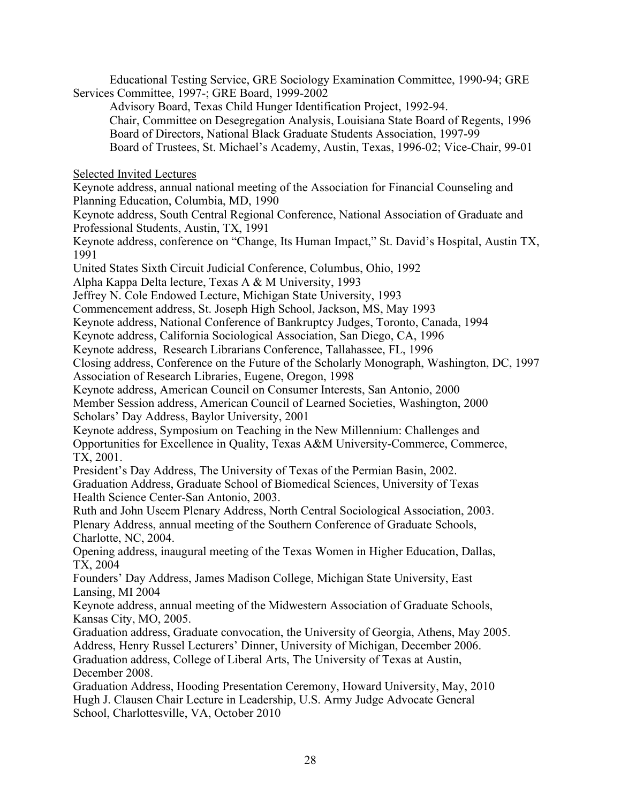Educational Testing Service, GRE Sociology Examination Committee, 1990-94; GRE Services Committee, 1997-; GRE Board, 1999-2002

 Advisory Board, Texas Child Hunger Identification Project, 1992-94. Chair, Committee on Desegregation Analysis, Louisiana State Board of Regents, 1996 Board of Directors, National Black Graduate Students Association, 1997-99 Board of Trustees, St. Michael's Academy, Austin, Texas, 1996-02; Vice-Chair, 99-01

Selected Invited Lectures

Keynote address, annual national meeting of the Association for Financial Counseling and Planning Education, Columbia, MD, 1990

Keynote address, South Central Regional Conference, National Association of Graduate and Professional Students, Austin, TX, 1991

Keynote address, conference on "Change, Its Human Impact," St. David's Hospital, Austin TX, 1991

United States Sixth Circuit Judicial Conference, Columbus, Ohio, 1992

Alpha Kappa Delta lecture, Texas A & M University, 1993

Jeffrey N. Cole Endowed Lecture, Michigan State University, 1993

Commencement address, St. Joseph High School, Jackson, MS, May 1993

Keynote address, National Conference of Bankruptcy Judges, Toronto, Canada, 1994

Keynote address, California Sociological Association, San Diego, CA, 1996

Keynote address, Research Librarians Conference, Tallahassee, FL, 1996

Closing address, Conference on the Future of the Scholarly Monograph, Washington, DC, 1997 Association of Research Libraries, Eugene, Oregon, 1998

Keynote address, American Council on Consumer Interests, San Antonio, 2000

Member Session address, American Council of Learned Societies, Washington, 2000 Scholars' Day Address, Baylor University, 2001

Keynote address, Symposium on Teaching in the New Millennium: Challenges and Opportunities for Excellence in Quality, Texas A&M University-Commerce, Commerce, TX, 2001.

President's Day Address, The University of Texas of the Permian Basin, 2002. Graduation Address, Graduate School of Biomedical Sciences, University of Texas Health Science Center-San Antonio, 2003.

Ruth and John Useem Plenary Address, North Central Sociological Association, 2003. Plenary Address, annual meeting of the Southern Conference of Graduate Schools, Charlotte, NC, 2004.

Opening address, inaugural meeting of the Texas Women in Higher Education, Dallas, TX, 2004

Founders' Day Address, James Madison College, Michigan State University, East Lansing, MI 2004

Keynote address, annual meeting of the Midwestern Association of Graduate Schools, Kansas City, MO, 2005.

Graduation address, Graduate convocation, the University of Georgia, Athens, May 2005. Address, Henry Russel Lecturers' Dinner, University of Michigan, December 2006. Graduation address, College of Liberal Arts, The University of Texas at Austin, December 2008.

Graduation Address, Hooding Presentation Ceremony, Howard University, May, 2010 Hugh J. Clausen Chair Lecture in Leadership, U.S. Army Judge Advocate General School, Charlottesville, VA, October 2010